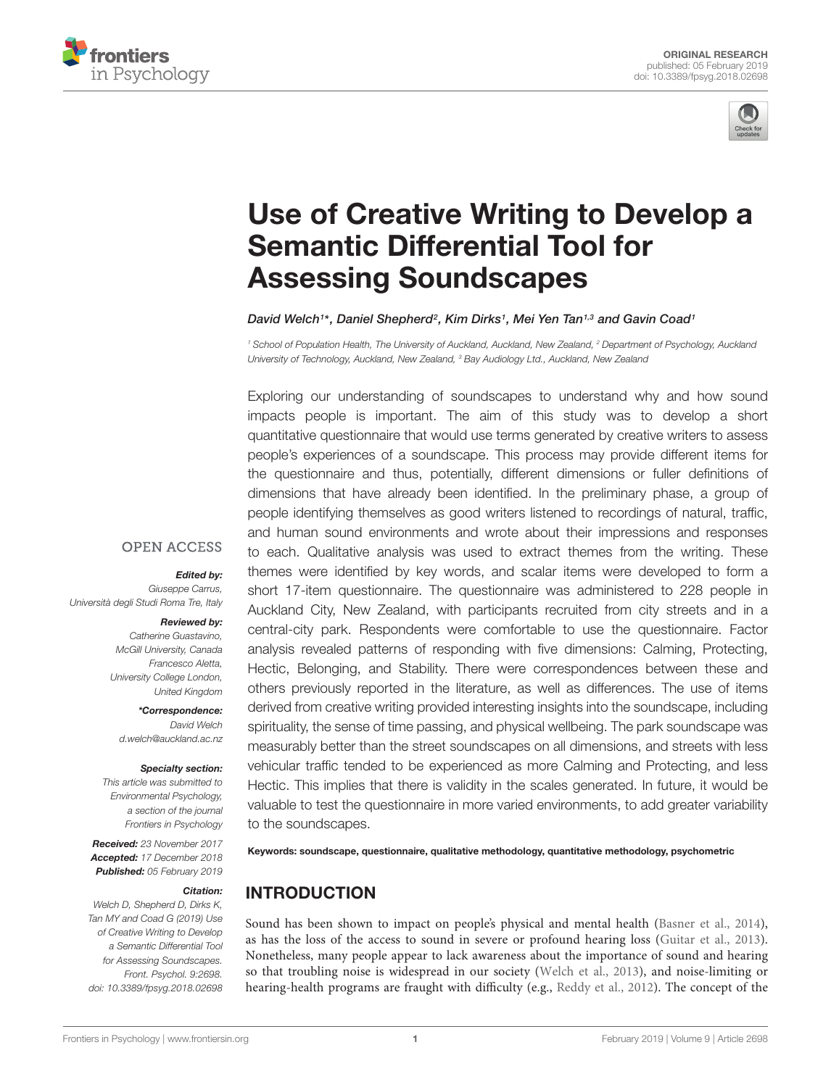



# [Use of Creative Writing to Develop a](https://www.frontiersin.org/articles/10.3389/fpsyg.2018.02698/full) Semantic Differential Tool for Assessing Soundscapes

[David Welch](http://loop.frontiersin.org/people/456119/overview)<sup>1\*</sup>, [Daniel Shepherd](http://loop.frontiersin.org/people/175380/overview)<sup>2</sup>, [Kim Dirks](http://loop.frontiersin.org/people/584302/overview)<sup>1</sup>, Mei Yen Tan<sup>1,3</sup> and Gavin Coad<sup>1</sup>

<sup>1</sup> School of Population Health, The University of Auckland, Auckland, New Zealand, <sup>2</sup> Department of Psychology, Auckland University of Technology, Auckland, New Zealand, <sup>3</sup> Bay Audiology Ltd., Auckland, New Zealand

Exploring our understanding of soundscapes to understand why and how sound impacts people is important. The aim of this study was to develop a short quantitative questionnaire that would use terms generated by creative writers to assess people's experiences of a soundscape. This process may provide different items for the questionnaire and thus, potentially, different dimensions or fuller definitions of dimensions that have already been identified. In the preliminary phase, a group of people identifying themselves as good writers listened to recordings of natural, traffic, and human sound environments and wrote about their impressions and responses to each. Qualitative analysis was used to extract themes from the writing. These themes were identified by key words, and scalar items were developed to form a short 17-item questionnaire. The questionnaire was administered to 228 people in Auckland City, New Zealand, with participants recruited from city streets and in a central-city park. Respondents were comfortable to use the questionnaire. Factor analysis revealed patterns of responding with five dimensions: Calming, Protecting, Hectic, Belonging, and Stability. There were correspondences between these and others previously reported in the literature, as well as differences. The use of items derived from creative writing provided interesting insights into the soundscape, including spirituality, the sense of time passing, and physical wellbeing. The park soundscape was measurably better than the street soundscapes on all dimensions, and streets with less vehicular traffic tended to be experienced as more Calming and Protecting, and less Hectic. This implies that there is validity in the scales generated. In future, it would be valuable to test the questionnaire in more varied environments, to add greater variability to the soundscapes.

Keywords: soundscape, questionnaire, qualitative methodology, quantitative methodology, psychometric

# INTRODUCTION

Sound has been shown to impact on people's physical and mental health [\(Basner et al.,](#page-14-0) [2014\)](#page-14-0), as has the loss of the access to sound in severe or profound hearing loss [\(Guitar et al.,](#page-14-1) [2013\)](#page-14-1). Nonetheless, many people appear to lack awareness about the importance of sound and hearing so that troubling noise is widespread in our society [\(Welch et al.,](#page-15-0) [2013\)](#page-15-0), and noise-limiting or hearing-health programs are fraught with difficulty (e.g., [Reddy et al.,](#page-14-2) [2012\)](#page-14-2). The concept of the

## **OPEN ACCESS**

#### Edited by:

Giuseppe Carrus, Università degli Studi Roma Tre, Italy

#### Reviewed by:

Catherine Guastavino, McGill University, Canada Francesco Aletta, University College London, United Kingdom

\*Correspondence: David Welch d.welch@auckland.ac.nz

#### Specialty section:

This article was submitted to Environmental Psychology, a section of the journal Frontiers in Psychology

Received: 23 November 2017 Accepted: 17 December 2018 Published: 05 February 2019

#### Citation:

Welch D, Shepherd D, Dirks K, Tan MY and Coad G (2019) Use of Creative Writing to Develop a Semantic Differential Tool for Assessing Soundscapes. Front. Psychol. 9:2698. doi: [10.3389/fpsyg.2018.02698](https://doi.org/10.3389/fpsyg.2018.02698)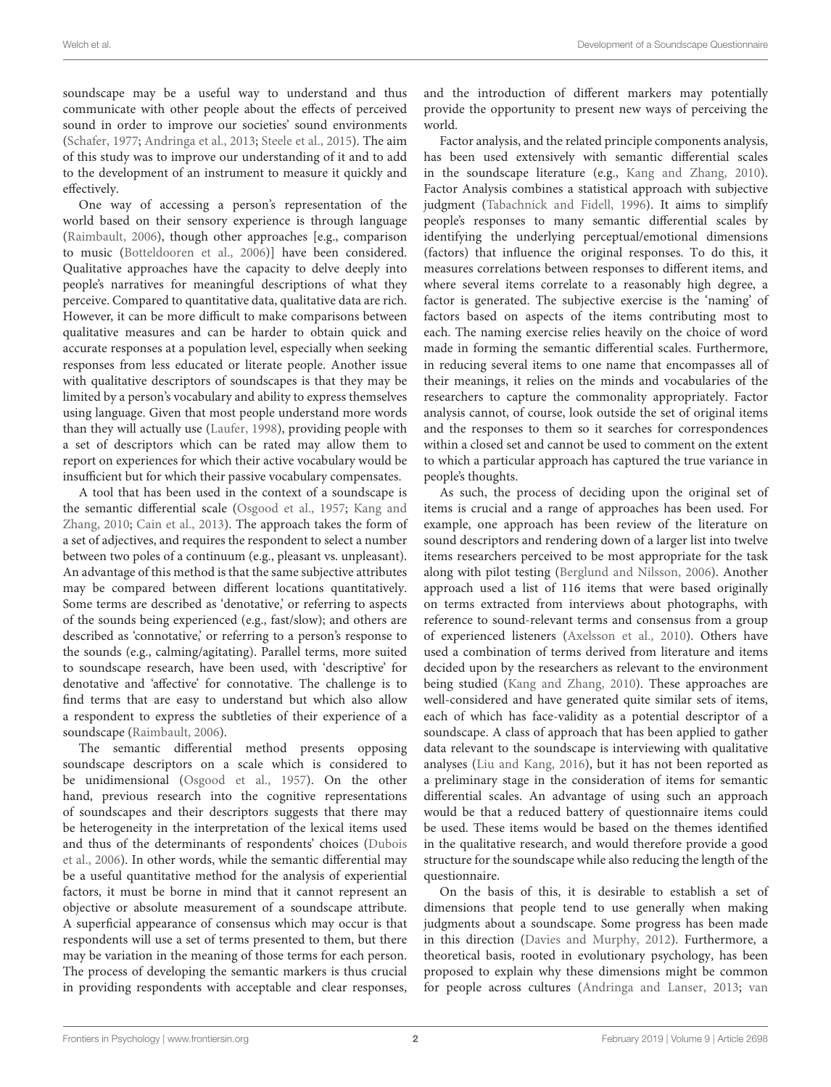soundscape may be a useful way to understand and thus communicate with other people about the effects of perceived sound in order to improve our societies' sound environments [\(Schafer,](#page-15-1) [1977;](#page-15-1) [Andringa et al.,](#page-14-3) [2013;](#page-14-3) [Steele et al.,](#page-15-2) [2015\)](#page-15-2). The aim of this study was to improve our understanding of it and to add to the development of an instrument to measure it quickly and effectively.

One way of accessing a person's representation of the world based on their sensory experience is through language [\(Raimbault,](#page-14-4) [2006\)](#page-14-4), though other approaches [e.g., comparison to music [\(Botteldooren et al.,](#page-14-5) [2006\)](#page-14-5)] have been considered. Qualitative approaches have the capacity to delve deeply into people's narratives for meaningful descriptions of what they perceive. Compared to quantitative data, qualitative data are rich. However, it can be more difficult to make comparisons between qualitative measures and can be harder to obtain quick and accurate responses at a population level, especially when seeking responses from less educated or literate people. Another issue with qualitative descriptors of soundscapes is that they may be limited by a person's vocabulary and ability to express themselves using language. Given that most people understand more words than they will actually use [\(Laufer,](#page-14-6) [1998\)](#page-14-6), providing people with a set of descriptors which can be rated may allow them to report on experiences for which their active vocabulary would be insufficient but for which their passive vocabulary compensates.

A tool that has been used in the context of a soundscape is the semantic differential scale [\(Osgood et al.,](#page-14-7) [1957;](#page-14-7) [Kang and](#page-14-8) [Zhang,](#page-14-8) [2010;](#page-14-8) [Cain et al.,](#page-14-9) [2013\)](#page-14-9). The approach takes the form of a set of adjectives, and requires the respondent to select a number between two poles of a continuum (e.g., pleasant vs. unpleasant). An advantage of this method is that the same subjective attributes may be compared between different locations quantitatively. Some terms are described as 'denotative,' or referring to aspects of the sounds being experienced (e.g., fast/slow); and others are described as 'connotative,' or referring to a person's response to the sounds (e.g., calming/agitating). Parallel terms, more suited to soundscape research, have been used, with 'descriptive' for denotative and 'affective' for connotative. The challenge is to find terms that are easy to understand but which also allow a respondent to express the subtleties of their experience of a soundscape [\(Raimbault,](#page-14-4) [2006\)](#page-14-4).

The semantic differential method presents opposing soundscape descriptors on a scale which is considered to be unidimensional [\(Osgood et al.,](#page-14-7) [1957\)](#page-14-7). On the other hand, previous research into the cognitive representations of soundscapes and their descriptors suggests that there may be heterogeneity in the interpretation of the lexical items used and thus of the determinants of respondents' choices [\(Dubois](#page-14-10) [et al.,](#page-14-10) [2006\)](#page-14-10). In other words, while the semantic differential may be a useful quantitative method for the analysis of experiential factors, it must be borne in mind that it cannot represent an objective or absolute measurement of a soundscape attribute. A superficial appearance of consensus which may occur is that respondents will use a set of terms presented to them, but there may be variation in the meaning of those terms for each person. The process of developing the semantic markers is thus crucial in providing respondents with acceptable and clear responses,

and the introduction of different markers may potentially provide the opportunity to present new ways of perceiving the world.

Factor analysis, and the related principle components analysis, has been used extensively with semantic differential scales in the soundscape literature (e.g., [Kang and Zhang,](#page-14-8) [2010\)](#page-14-8). Factor Analysis combines a statistical approach with subjective judgment [\(Tabachnick and Fidell,](#page-15-3) [1996\)](#page-15-3). It aims to simplify people's responses to many semantic differential scales by identifying the underlying perceptual/emotional dimensions (factors) that influence the original responses. To do this, it measures correlations between responses to different items, and where several items correlate to a reasonably high degree, a factor is generated. The subjective exercise is the 'naming' of factors based on aspects of the items contributing most to each. The naming exercise relies heavily on the choice of word made in forming the semantic differential scales. Furthermore, in reducing several items to one name that encompasses all of their meanings, it relies on the minds and vocabularies of the researchers to capture the commonality appropriately. Factor analysis cannot, of course, look outside the set of original items and the responses to them so it searches for correspondences within a closed set and cannot be used to comment on the extent to which a particular approach has captured the true variance in people's thoughts.

As such, the process of deciding upon the original set of items is crucial and a range of approaches has been used. For example, one approach has been review of the literature on sound descriptors and rendering down of a larger list into twelve items researchers perceived to be most appropriate for the task along with pilot testing [\(Berglund and Nilsson,](#page-14-11) [2006\)](#page-14-11). Another approach used a list of 116 items that were based originally on terms extracted from interviews about photographs, with reference to sound-relevant terms and consensus from a group of experienced listeners [\(Axelsson et al.,](#page-14-12) [2010\)](#page-14-12). Others have used a combination of terms derived from literature and items decided upon by the researchers as relevant to the environment being studied [\(Kang and Zhang,](#page-14-8) [2010\)](#page-14-8). These approaches are well-considered and have generated quite similar sets of items, each of which has face-validity as a potential descriptor of a soundscape. A class of approach that has been applied to gather data relevant to the soundscape is interviewing with qualitative analyses [\(Liu and Kang,](#page-14-13) [2016\)](#page-14-13), but it has not been reported as a preliminary stage in the consideration of items for semantic differential scales. An advantage of using such an approach would be that a reduced battery of questionnaire items could be used. These items would be based on the themes identified in the qualitative research, and would therefore provide a good structure for the soundscape while also reducing the length of the questionnaire.

On the basis of this, it is desirable to establish a set of dimensions that people tend to use generally when making judgments about a soundscape. Some progress has been made in this direction [\(Davies and Murphy,](#page-14-14) [2012\)](#page-14-14). Furthermore, a theoretical basis, rooted in evolutionary psychology, has been proposed to explain why these dimensions might be common for people across cultures [\(Andringa and Lanser,](#page-14-15) [2013;](#page-14-15) [van](#page-15-4)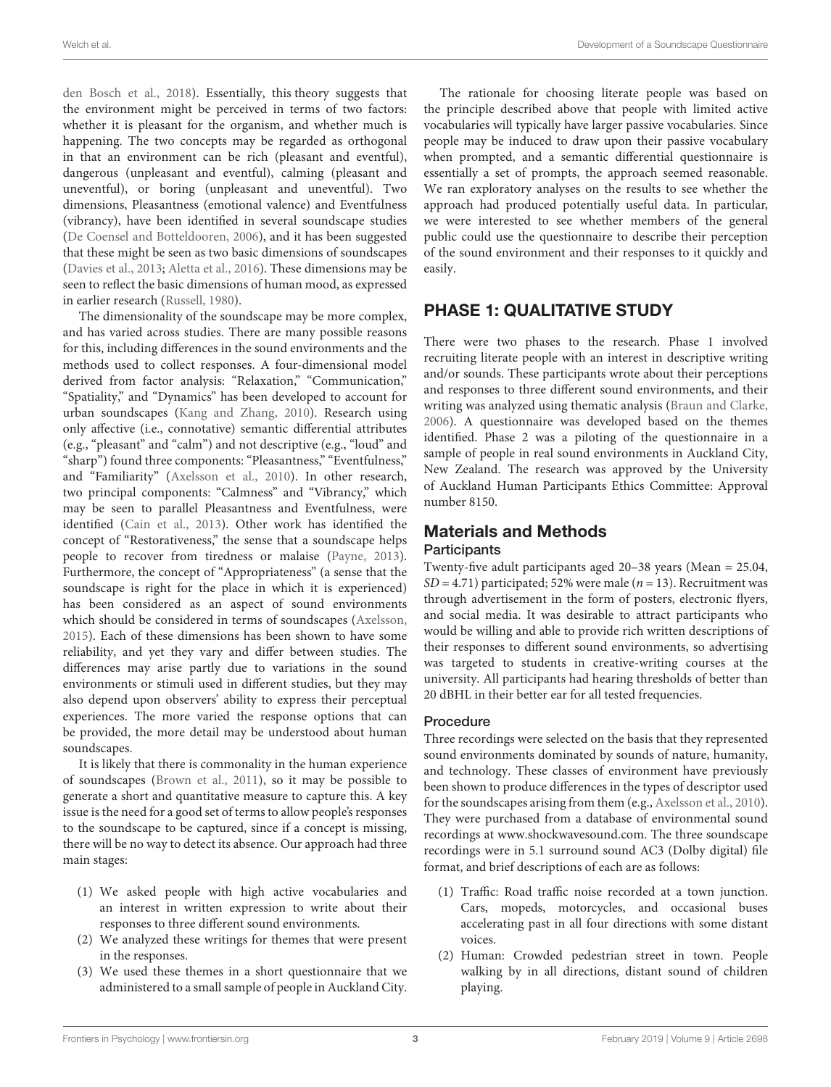[den Bosch et al.,](#page-15-4) [2018\)](#page-15-4). Essentially, this theory suggests that the environment might be perceived in terms of two factors: whether it is pleasant for the organism, and whether much is happening. The two concepts may be regarded as orthogonal in that an environment can be rich (pleasant and eventful), dangerous (unpleasant and eventful), calming (pleasant and uneventful), or boring (unpleasant and uneventful). Two dimensions, Pleasantness (emotional valence) and Eventfulness (vibrancy), have been identified in several soundscape studies [\(De Coensel and Botteldooren,](#page-14-16) [2006\)](#page-14-16), and it has been suggested that these might be seen as two basic dimensions of soundscapes [\(Davies et al.,](#page-14-17) [2013;](#page-14-17) [Aletta et al.,](#page-14-18) [2016\)](#page-14-18). These dimensions may be seen to reflect the basic dimensions of human mood, as expressed in earlier research [\(Russell,](#page-14-19) [1980\)](#page-14-19).

The dimensionality of the soundscape may be more complex, and has varied across studies. There are many possible reasons for this, including differences in the sound environments and the methods used to collect responses. A four-dimensional model derived from factor analysis: "Relaxation," "Communication," "Spatiality," and "Dynamics" has been developed to account for urban soundscapes [\(Kang and Zhang,](#page-14-8) [2010\)](#page-14-8). Research using only affective (i.e., connotative) semantic differential attributes (e.g., "pleasant" and "calm") and not descriptive (e.g., "loud" and "sharp") found three components: "Pleasantness," "Eventfulness," and "Familiarity" [\(Axelsson et al.,](#page-14-12) [2010\)](#page-14-12). In other research, two principal components: "Calmness" and "Vibrancy," which may be seen to parallel Pleasantness and Eventfulness, were identified [\(Cain et al.,](#page-14-9) [2013\)](#page-14-9). Other work has identified the concept of "Restorativeness," the sense that a soundscape helps people to recover from tiredness or malaise [\(Payne,](#page-14-20) [2013\)](#page-14-20). Furthermore, the concept of "Appropriateness" (a sense that the soundscape is right for the place in which it is experienced) has been considered as an aspect of sound environments which should be considered in terms of soundscapes [\(Axelsson,](#page-14-21) [2015\)](#page-14-21). Each of these dimensions has been shown to have some reliability, and yet they vary and differ between studies. The differences may arise partly due to variations in the sound environments or stimuli used in different studies, but they may also depend upon observers' ability to express their perceptual experiences. The more varied the response options that can be provided, the more detail may be understood about human soundscapes.

It is likely that there is commonality in the human experience of soundscapes [\(Brown et al.,](#page-14-22) [2011\)](#page-14-22), so it may be possible to generate a short and quantitative measure to capture this. A key issue is the need for a good set of terms to allow people's responses to the soundscape to be captured, since if a concept is missing, there will be no way to detect its absence. Our approach had three main stages:

- (1) We asked people with high active vocabularies and an interest in written expression to write about their responses to three different sound environments.
- (2) We analyzed these writings for themes that were present in the responses.
- (3) We used these themes in a short questionnaire that we administered to a small sample of people in Auckland City.

The rationale for choosing literate people was based on the principle described above that people with limited active vocabularies will typically have larger passive vocabularies. Since people may be induced to draw upon their passive vocabulary when prompted, and a semantic differential questionnaire is essentially a set of prompts, the approach seemed reasonable. We ran exploratory analyses on the results to see whether the approach had produced potentially useful data. In particular, we were interested to see whether members of the general public could use the questionnaire to describe their perception of the sound environment and their responses to it quickly and easily.

# PHASE 1: QUALITATIVE STUDY

There were two phases to the research. Phase 1 involved recruiting literate people with an interest in descriptive writing and/or sounds. These participants wrote about their perceptions and responses to three different sound environments, and their writing was analyzed using thematic analysis [\(Braun and Clarke,](#page-14-23) [2006\)](#page-14-23). A questionnaire was developed based on the themes identified. Phase 2 was a piloting of the questionnaire in a sample of people in real sound environments in Auckland City, New Zealand. The research was approved by the University of Auckland Human Participants Ethics Committee: Approval number 8150.

## Materials and Methods **Participants**

Twenty-five adult participants aged 20–38 years (Mean = 25.04,  $SD = 4.71$ ) participated; 52% were male ( $n = 13$ ). Recruitment was through advertisement in the form of posters, electronic flyers, and social media. It was desirable to attract participants who would be willing and able to provide rich written descriptions of their responses to different sound environments, so advertising was targeted to students in creative-writing courses at the university. All participants had hearing thresholds of better than 20 dBHL in their better ear for all tested frequencies.

#### Procedure

Three recordings were selected on the basis that they represented sound environments dominated by sounds of nature, humanity, and technology. These classes of environment have previously been shown to produce differences in the types of descriptor used for the soundscapes arising from them (e.g., [Axelsson et al.,](#page-14-12) [2010\)](#page-14-12). They were purchased from a database of environmental sound recordings at [www.shockwavesound.com.](http://www.shockwavesound.com) The three soundscape recordings were in 5.1 surround sound AC3 (Dolby digital) file format, and brief descriptions of each are as follows:

- (1) Traffic: Road traffic noise recorded at a town junction. Cars, mopeds, motorcycles, and occasional buses accelerating past in all four directions with some distant voices.
- (2) Human: Crowded pedestrian street in town. People walking by in all directions, distant sound of children playing.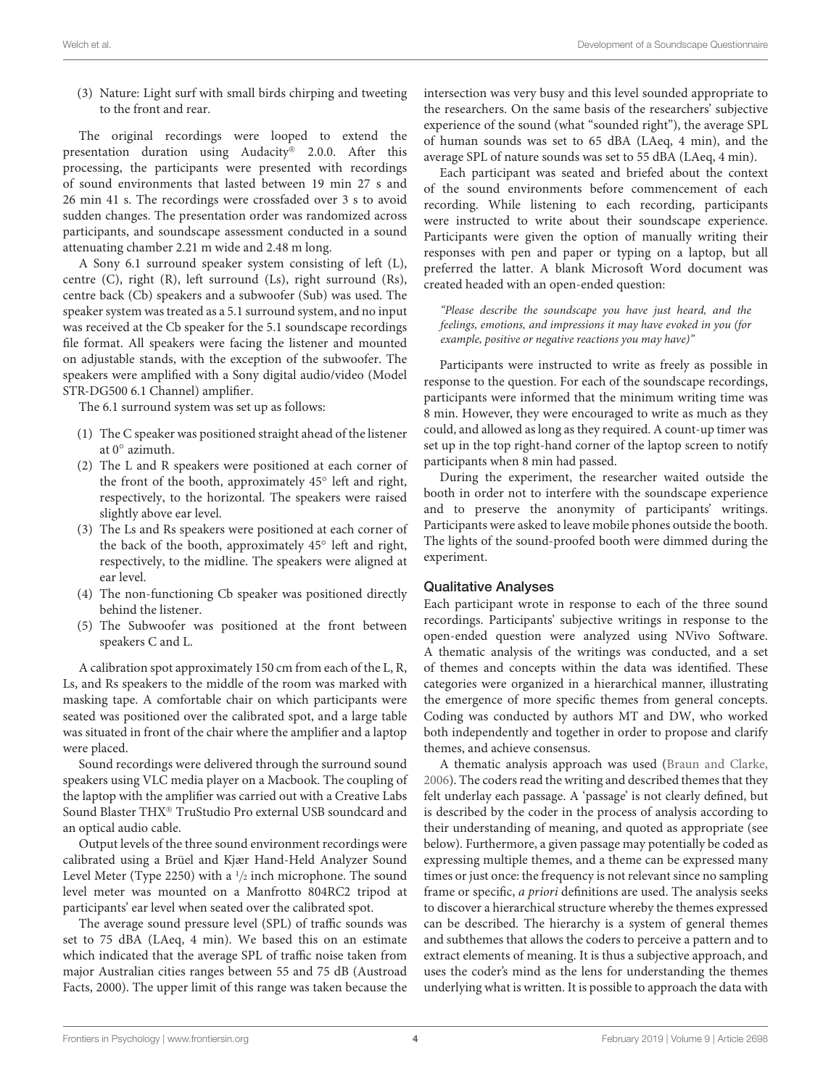(3) Nature: Light surf with small birds chirping and tweeting to the front and rear.

The original recordings were looped to extend the presentation duration using Audacity® 2.0.0. After this processing, the participants were presented with recordings of sound environments that lasted between 19 min 27 s and 26 min 41 s. The recordings were crossfaded over 3 s to avoid sudden changes. The presentation order was randomized across participants, and soundscape assessment conducted in a sound attenuating chamber 2.21 m wide and 2.48 m long.

A Sony 6.1 surround speaker system consisting of left (L), centre (C), right (R), left surround (Ls), right surround (Rs), centre back (Cb) speakers and a subwoofer (Sub) was used. The speaker system was treated as a 5.1 surround system, and no input was received at the Cb speaker for the 5.1 soundscape recordings file format. All speakers were facing the listener and mounted on adjustable stands, with the exception of the subwoofer. The speakers were amplified with a Sony digital audio/video (Model STR-DG500 6.1 Channel) amplifier.

The 6.1 surround system was set up as follows:

- (1) The C speaker was positioned straight ahead of the listener at 0◦ azimuth.
- (2) The L and R speakers were positioned at each corner of the front of the booth, approximately 45◦ left and right, respectively, to the horizontal. The speakers were raised slightly above ear level.
- (3) The Ls and Rs speakers were positioned at each corner of the back of the booth, approximately 45◦ left and right, respectively, to the midline. The speakers were aligned at ear level.
- (4) The non-functioning Cb speaker was positioned directly behind the listener.
- (5) The Subwoofer was positioned at the front between speakers C and L.

A calibration spot approximately 150 cm from each of the L, R, Ls, and Rs speakers to the middle of the room was marked with masking tape. A comfortable chair on which participants were seated was positioned over the calibrated spot, and a large table was situated in front of the chair where the amplifier and a laptop were placed.

Sound recordings were delivered through the surround sound speakers using VLC media player on a Macbook. The coupling of the laptop with the amplifier was carried out with a Creative Labs Sound Blaster THX<sup>®</sup> TruStudio Pro external USB soundcard and an optical audio cable.

Output levels of the three sound environment recordings were calibrated using a Brüel and Kjær Hand-Held Analyzer Sound Level Meter (Type 2250) with a  $1/2$  inch microphone. The sound level meter was mounted on a Manfrotto 804RC2 tripod at participants' ear level when seated over the calibrated spot.

The average sound pressure level (SPL) of traffic sounds was set to 75 dBA (LAeq, 4 min). We based this on an estimate which indicated that the average SPL of traffic noise taken from major Australian cities ranges between 55 and 75 dB (Austroad Facts, 2000). The upper limit of this range was taken because the intersection was very busy and this level sounded appropriate to the researchers. On the same basis of the researchers' subjective experience of the sound (what "sounded right"), the average SPL of human sounds was set to 65 dBA (LAeq, 4 min), and the average SPL of nature sounds was set to 55 dBA (LAeq, 4 min).

Each participant was seated and briefed about the context of the sound environments before commencement of each recording. While listening to each recording, participants were instructed to write about their soundscape experience. Participants were given the option of manually writing their responses with pen and paper or typing on a laptop, but all preferred the latter. A blank Microsoft Word document was created headed with an open-ended question:

"Please describe the soundscape you have just heard, and the feelings, emotions, and impressions it may have evoked in you (for example, positive or negative reactions you may have)"

Participants were instructed to write as freely as possible in response to the question. For each of the soundscape recordings, participants were informed that the minimum writing time was 8 min. However, they were encouraged to write as much as they could, and allowed as long as they required. A count-up timer was set up in the top right-hand corner of the laptop screen to notify participants when 8 min had passed.

During the experiment, the researcher waited outside the booth in order not to interfere with the soundscape experience and to preserve the anonymity of participants' writings. Participants were asked to leave mobile phones outside the booth. The lights of the sound-proofed booth were dimmed during the experiment.

# Qualitative Analyses

Each participant wrote in response to each of the three sound recordings. Participants' subjective writings in response to the open-ended question were analyzed using NVivo Software. A thematic analysis of the writings was conducted, and a set of themes and concepts within the data was identified. These categories were organized in a hierarchical manner, illustrating the emergence of more specific themes from general concepts. Coding was conducted by authors MT and DW, who worked both independently and together in order to propose and clarify themes, and achieve consensus.

A thematic analysis approach was used [\(Braun and Clarke,](#page-14-23) [2006\)](#page-14-23). The coders read the writing and described themes that they felt underlay each passage. A 'passage' is not clearly defined, but is described by the coder in the process of analysis according to their understanding of meaning, and quoted as appropriate (see below). Furthermore, a given passage may potentially be coded as expressing multiple themes, and a theme can be expressed many times or just once: the frequency is not relevant since no sampling frame or specific, a priori definitions are used. The analysis seeks to discover a hierarchical structure whereby the themes expressed can be described. The hierarchy is a system of general themes and subthemes that allows the coders to perceive a pattern and to extract elements of meaning. It is thus a subjective approach, and uses the coder's mind as the lens for understanding the themes underlying what is written. It is possible to approach the data with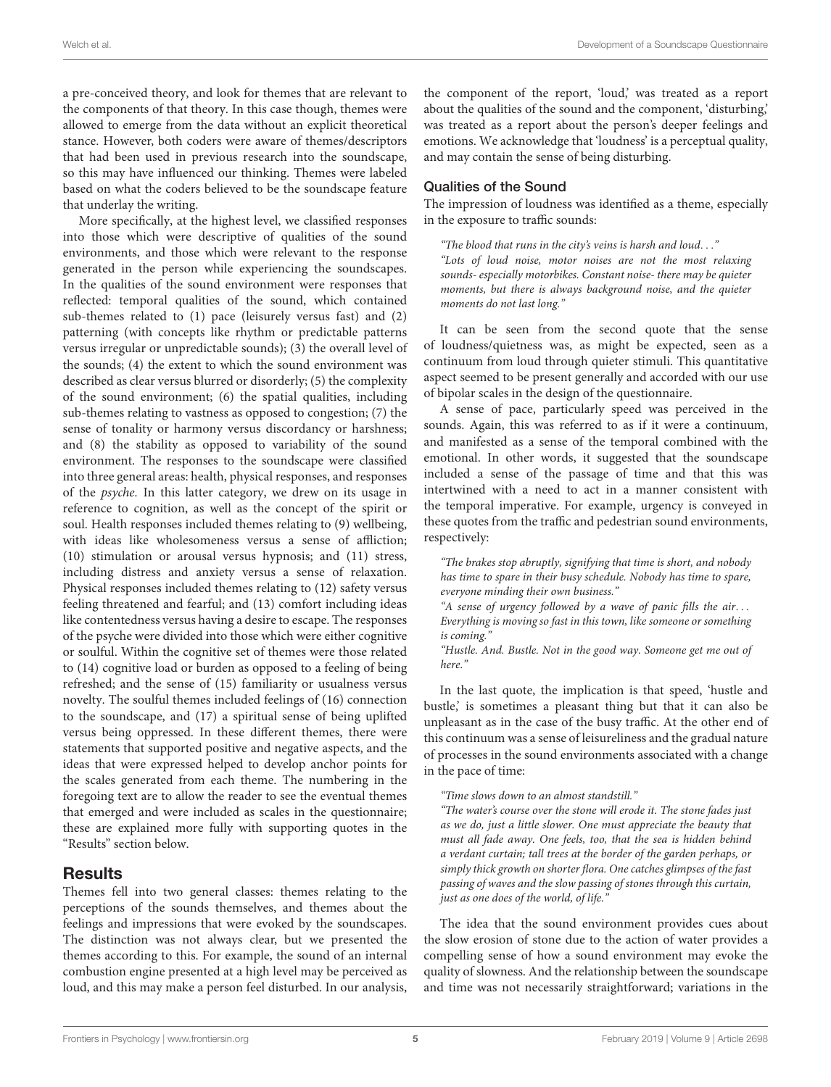a pre-conceived theory, and look for themes that are relevant to the components of that theory. In this case though, themes were allowed to emerge from the data without an explicit theoretical stance. However, both coders were aware of themes/descriptors that had been used in previous research into the soundscape, so this may have influenced our thinking. Themes were labeled based on what the coders believed to be the soundscape feature that underlay the writing.

More specifically, at the highest level, we classified responses into those which were descriptive of qualities of the sound environments, and those which were relevant to the response generated in the person while experiencing the soundscapes. In the qualities of the sound environment were responses that reflected: temporal qualities of the sound, which contained sub-themes related to (1) pace (leisurely versus fast) and (2) patterning (with concepts like rhythm or predictable patterns versus irregular or unpredictable sounds); (3) the overall level of the sounds; (4) the extent to which the sound environment was described as clear versus blurred or disorderly; (5) the complexity of the sound environment; (6) the spatial qualities, including sub-themes relating to vastness as opposed to congestion; (7) the sense of tonality or harmony versus discordancy or harshness; and (8) the stability as opposed to variability of the sound environment. The responses to the soundscape were classified into three general areas: health, physical responses, and responses of the psyche. In this latter category, we drew on its usage in reference to cognition, as well as the concept of the spirit or soul. Health responses included themes relating to (9) wellbeing, with ideas like wholesomeness versus a sense of affliction; (10) stimulation or arousal versus hypnosis; and (11) stress, including distress and anxiety versus a sense of relaxation. Physical responses included themes relating to (12) safety versus feeling threatened and fearful; and (13) comfort including ideas like contentedness versus having a desire to escape. The responses of the psyche were divided into those which were either cognitive or soulful. Within the cognitive set of themes were those related to (14) cognitive load or burden as opposed to a feeling of being refreshed; and the sense of (15) familiarity or usualness versus novelty. The soulful themes included feelings of (16) connection to the soundscape, and (17) a spiritual sense of being uplifted versus being oppressed. In these different themes, there were statements that supported positive and negative aspects, and the ideas that were expressed helped to develop anchor points for the scales generated from each theme. The numbering in the foregoing text are to allow the reader to see the eventual themes that emerged and were included as scales in the questionnaire; these are explained more fully with supporting quotes in the "Results" section below.

### **Results**

Themes fell into two general classes: themes relating to the perceptions of the sounds themselves, and themes about the feelings and impressions that were evoked by the soundscapes. The distinction was not always clear, but we presented the themes according to this. For example, the sound of an internal combustion engine presented at a high level may be perceived as loud, and this may make a person feel disturbed. In our analysis,

the component of the report, 'loud,' was treated as a report about the qualities of the sound and the component, 'disturbing,' was treated as a report about the person's deeper feelings and emotions. We acknowledge that 'loudness' is a perceptual quality, and may contain the sense of being disturbing.

#### Qualities of the Sound

The impression of loudness was identified as a theme, especially in the exposure to traffic sounds:

"The blood that runs in the city's veins is harsh and loud. . ." "Lots of loud noise, motor noises are not the most relaxing sounds- especially motorbikes. Constant noise- there may be quieter moments, but there is always background noise, and the quieter moments do not last long."

It can be seen from the second quote that the sense of loudness/quietness was, as might be expected, seen as a continuum from loud through quieter stimuli. This quantitative aspect seemed to be present generally and accorded with our use of bipolar scales in the design of the questionnaire.

A sense of pace, particularly speed was perceived in the sounds. Again, this was referred to as if it were a continuum, and manifested as a sense of the temporal combined with the emotional. In other words, it suggested that the soundscape included a sense of the passage of time and that this was intertwined with a need to act in a manner consistent with the temporal imperative. For example, urgency is conveyed in these quotes from the traffic and pedestrian sound environments, respectively:

"The brakes stop abruptly, signifying that time is short, and nobody has time to spare in their busy schedule. Nobody has time to spare, everyone minding their own business."

"A sense of urgency followed by a wave of panic fills the air. . . Everything is moving so fast in this town, like someone or something is coming.'

"Hustle. And. Bustle. Not in the good way. Someone get me out of here."

In the last quote, the implication is that speed, 'hustle and bustle,' is sometimes a pleasant thing but that it can also be unpleasant as in the case of the busy traffic. At the other end of this continuum was a sense of leisureliness and the gradual nature of processes in the sound environments associated with a change in the pace of time:

"Time slows down to an almost standstill."

"The water's course over the stone will erode it. The stone fades just as we do, just a little slower. One must appreciate the beauty that must all fade away. One feels, too, that the sea is hidden behind a verdant curtain; tall trees at the border of the garden perhaps, or simply thick growth on shorter flora. One catches glimpses of the fast passing of waves and the slow passing of stones through this curtain, just as one does of the world, of life."

The idea that the sound environment provides cues about the slow erosion of stone due to the action of water provides a compelling sense of how a sound environment may evoke the quality of slowness. And the relationship between the soundscape and time was not necessarily straightforward; variations in the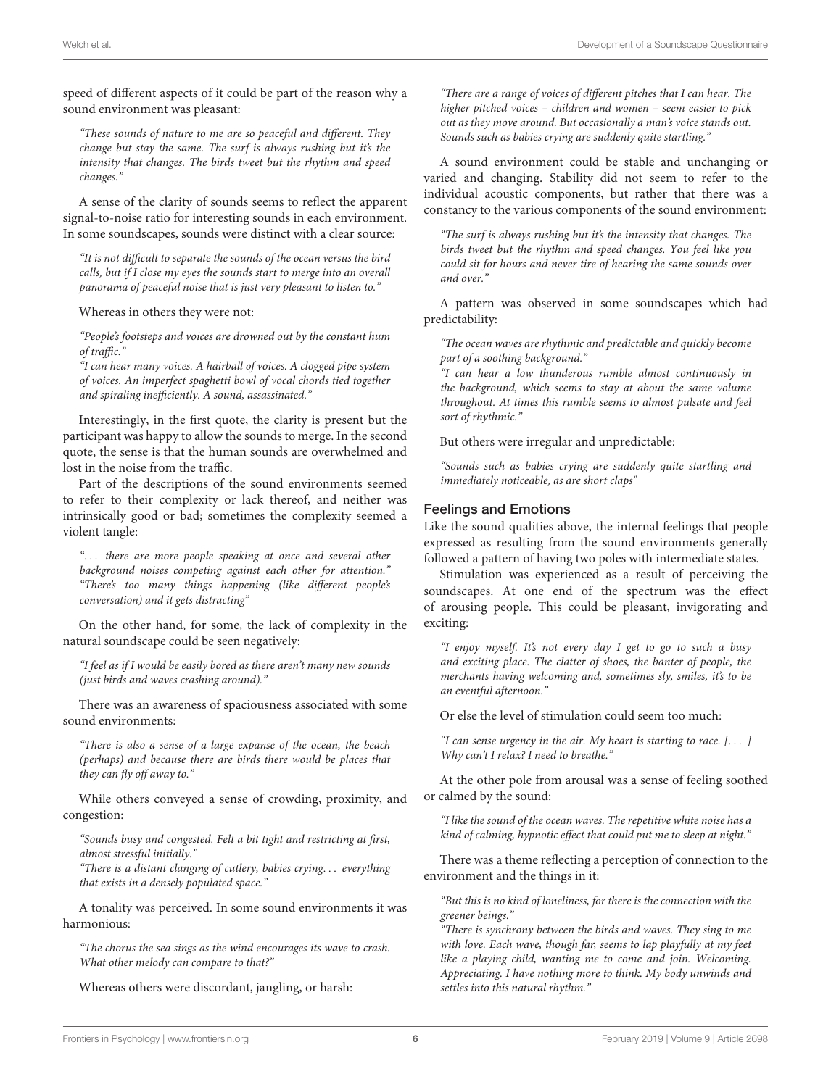speed of different aspects of it could be part of the reason why a sound environment was pleasant:

"These sounds of nature to me are so peaceful and different. They change but stay the same. The surf is always rushing but it's the intensity that changes. The birds tweet but the rhythm and speed changes."

A sense of the clarity of sounds seems to reflect the apparent signal-to-noise ratio for interesting sounds in each environment. In some soundscapes, sounds were distinct with a clear source:

"It is not difficult to separate the sounds of the ocean versus the bird calls, but if I close my eyes the sounds start to merge into an overall panorama of peaceful noise that is just very pleasant to listen to."

Whereas in others they were not:

"People's footsteps and voices are drowned out by the constant hum of traffic."

"I can hear many voices. A hairball of voices. A clogged pipe system of voices. An imperfect spaghetti bowl of vocal chords tied together and spiraling inefficiently. A sound, assassinated."

Interestingly, in the first quote, the clarity is present but the participant was happy to allow the sounds to merge. In the second quote, the sense is that the human sounds are overwhelmed and lost in the noise from the traffic.

Part of the descriptions of the sound environments seemed to refer to their complexity or lack thereof, and neither was intrinsically good or bad; sometimes the complexity seemed a violent tangle:

". . . there are more people speaking at once and several other background noises competing against each other for attention." "There's too many things happening (like different people's conversation) and it gets distracting"

On the other hand, for some, the lack of complexity in the natural soundscape could be seen negatively:

"I feel as if I would be easily bored as there aren't many new sounds (just birds and waves crashing around)."

There was an awareness of spaciousness associated with some sound environments:

"There is also a sense of a large expanse of the ocean, the beach (perhaps) and because there are birds there would be places that they can fly off away to."

While others conveyed a sense of crowding, proximity, and congestion:

"Sounds busy and congested. Felt a bit tight and restricting at first, almost stressful initially."

"There is a distant clanging of cutlery, babies crying. . . everything that exists in a densely populated space."

A tonality was perceived. In some sound environments it was harmonious:

"The chorus the sea sings as the wind encourages its wave to crash. What other melody can compare to that?"

Whereas others were discordant, jangling, or harsh:

"There are a range of voices of different pitches that I can hear. The higher pitched voices – children and women – seem easier to pick out as they move around. But occasionally a man's voice stands out. Sounds such as babies crying are suddenly quite startling."

A sound environment could be stable and unchanging or varied and changing. Stability did not seem to refer to the individual acoustic components, but rather that there was a constancy to the various components of the sound environment:

"The surf is always rushing but it's the intensity that changes. The birds tweet but the rhythm and speed changes. You feel like you could sit for hours and never tire of hearing the same sounds over and over."

A pattern was observed in some soundscapes which had predictability:

"The ocean waves are rhythmic and predictable and quickly become part of a soothing background."

"I can hear a low thunderous rumble almost continuously in the background, which seems to stay at about the same volume throughout. At times this rumble seems to almost pulsate and feel sort of rhythmic."

But others were irregular and unpredictable:

"Sounds such as babies crying are suddenly quite startling and immediately noticeable, as are short claps"

#### Feelings and Emotions

Like the sound qualities above, the internal feelings that people expressed as resulting from the sound environments generally followed a pattern of having two poles with intermediate states.

Stimulation was experienced as a result of perceiving the soundscapes. At one end of the spectrum was the effect of arousing people. This could be pleasant, invigorating and exciting:

"I enjoy myself. It's not every day I get to go to such a busy and exciting place. The clatter of shoes, the banter of people, the merchants having welcoming and, sometimes sly, smiles, it's to be an eventful afternoon."

Or else the level of stimulation could seem too much:

"I can sense urgency in the air. My heart is starting to race.  $[...]$ Why can't I relax? I need to breathe."

At the other pole from arousal was a sense of feeling soothed or calmed by the sound:

"I like the sound of the ocean waves. The repetitive white noise has a kind of calming, hypnotic effect that could put me to sleep at night."

There was a theme reflecting a perception of connection to the environment and the things in it:

"But this is no kind of loneliness, for there is the connection with the greener beings."

"There is synchrony between the birds and waves. They sing to me with love. Each wave, though far, seems to lap playfully at my feet like a playing child, wanting me to come and join. Welcoming. Appreciating. I have nothing more to think. My body unwinds and settles into this natural rhythm."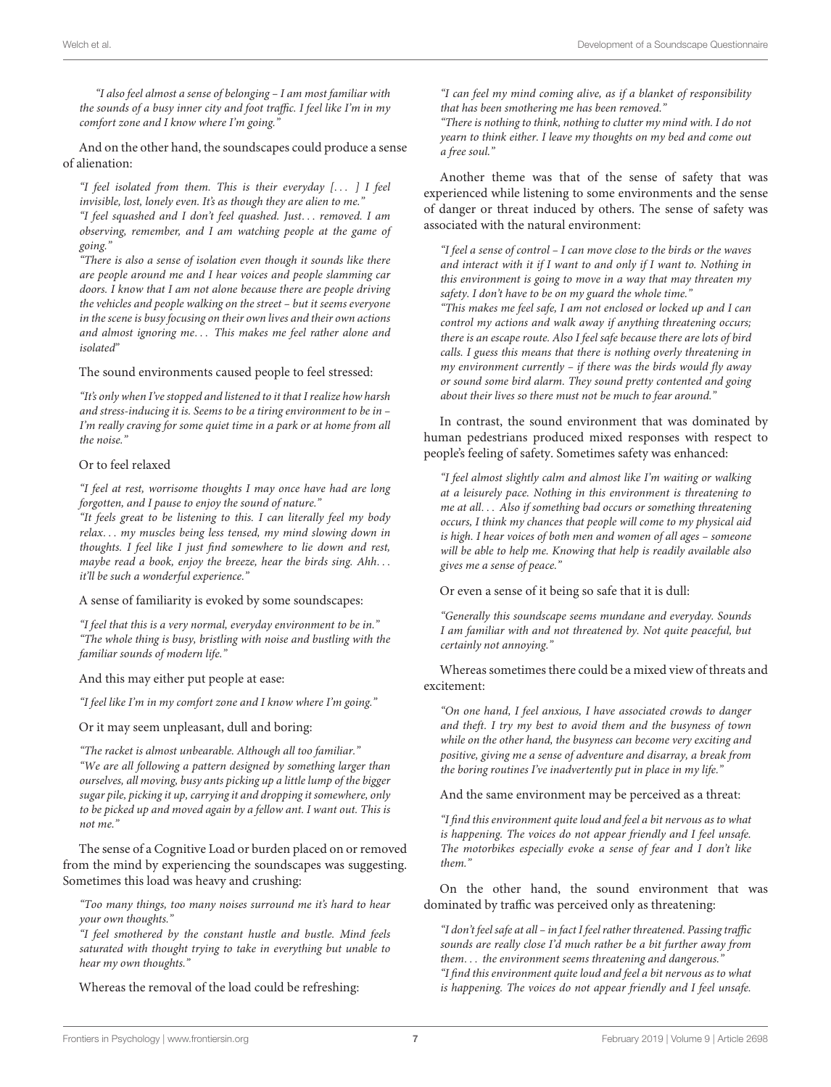"I also feel almost a sense of belonging – I am most familiar with the sounds of a busy inner city and foot traffic. I feel like I'm in my comfort zone and I know where I'm going.'

And on the other hand, the soundscapes could produce a sense of alienation:

"I feel isolated from them. This is their everyday [. . . ] I feel invisible, lost, lonely even. It's as though they are alien to me."

"I feel squashed and I don't feel quashed. Just. . . removed. I am observing, remember, and I am watching people at the game of going."

"There is also a sense of isolation even though it sounds like there are people around me and I hear voices and people slamming car doors. I know that I am not alone because there are people driving the vehicles and people walking on the street – but it seems everyone in the scene is busy focusing on their own lives and their own actions and almost ignoring me... This makes me feel rather alone and isolated"

The sound environments caused people to feel stressed:

"It's only when I've stopped and listened to it that I realize how harsh and stress-inducing it is. Seems to be a tiring environment to be in – I'm really craving for some quiet time in a park or at home from all the noise."

#### Or to feel relaxed

"I feel at rest, worrisome thoughts I may once have had are long forgotten, and I pause to enjoy the sound of nature."

"It feels great to be listening to this. I can literally feel my body relax. . . my muscles being less tensed, my mind slowing down in thoughts. I feel like I just find somewhere to lie down and rest, maybe read a book, enjoy the breeze, hear the birds sing. Ahh. . . it'll be such a wonderful experience."

A sense of familiarity is evoked by some soundscapes:

"I feel that this is a very normal, everyday environment to be in." "The whole thing is busy, bristling with noise and bustling with the familiar sounds of modern life."

And this may either put people at ease:

"I feel like I'm in my comfort zone and I know where I'm going."

Or it may seem unpleasant, dull and boring:

"The racket is almost unbearable. Although all too familiar." "We are all following a pattern designed by something larger than ourselves, all moving, busy ants picking up a little lump of the bigger sugar pile, picking it up, carrying it and dropping it somewhere, only to be picked up and moved again by a fellow ant. I want out. This is not me."

The sense of a Cognitive Load or burden placed on or removed from the mind by experiencing the soundscapes was suggesting. Sometimes this load was heavy and crushing:

"Too many things, too many noises surround me it's hard to hear your own thoughts."

"I feel smothered by the constant hustle and bustle. Mind feels saturated with thought trying to take in everything but unable to hear my own thoughts."

Whereas the removal of the load could be refreshing:

"I can feel my mind coming alive, as if a blanket of responsibility that has been smothering me has been removed."

"There is nothing to think, nothing to clutter my mind with. I do not yearn to think either. I leave my thoughts on my bed and come out a free soul."

Another theme was that of the sense of safety that was experienced while listening to some environments and the sense of danger or threat induced by others. The sense of safety was associated with the natural environment:

"I feel a sense of control – I can move close to the birds or the waves and interact with it if I want to and only if I want to. Nothing in this environment is going to move in a way that may threaten my safety. I don't have to be on my guard the whole time."

"This makes me feel safe, I am not enclosed or locked up and I can control my actions and walk away if anything threatening occurs; there is an escape route. Also I feel safe because there are lots of bird calls. I guess this means that there is nothing overly threatening in my environment currently  $-$  if there was the birds would fly away or sound some bird alarm. They sound pretty contented and going about their lives so there must not be much to fear around."

In contrast, the sound environment that was dominated by human pedestrians produced mixed responses with respect to people's feeling of safety. Sometimes safety was enhanced:

"I feel almost slightly calm and almost like I'm waiting or walking at a leisurely pace. Nothing in this environment is threatening to me at all. . . Also if something bad occurs or something threatening occurs, I think my chances that people will come to my physical aid is high. I hear voices of both men and women of all ages – someone will be able to help me. Knowing that help is readily available also gives me a sense of peace."

Or even a sense of it being so safe that it is dull:

"Generally this soundscape seems mundane and everyday. Sounds I am familiar with and not threatened by. Not quite peaceful, but certainly not annoying."

Whereas sometimes there could be a mixed view of threats and excitement:

"On one hand, I feel anxious, I have associated crowds to danger and theft. I try my best to avoid them and the busyness of town while on the other hand, the busyness can become very exciting and positive, giving me a sense of adventure and disarray, a break from the boring routines I've inadvertently put in place in my life."

And the same environment may be perceived as a threat:

"I find this environment quite loud and feel a bit nervous as to what is happening. The voices do not appear friendly and I feel unsafe. The motorbikes especially evoke a sense of fear and I don't like them."

On the other hand, the sound environment that was dominated by traffic was perceived only as threatening:

"I don't feel safe at all – in fact I feel rather threatened. Passing traffic sounds are really close I'd much rather be a bit further away from them. . . the environment seems threatening and dangerous." "I find this environment quite loud and feel a bit nervous as to what is happening. The voices do not appear friendly and I feel unsafe.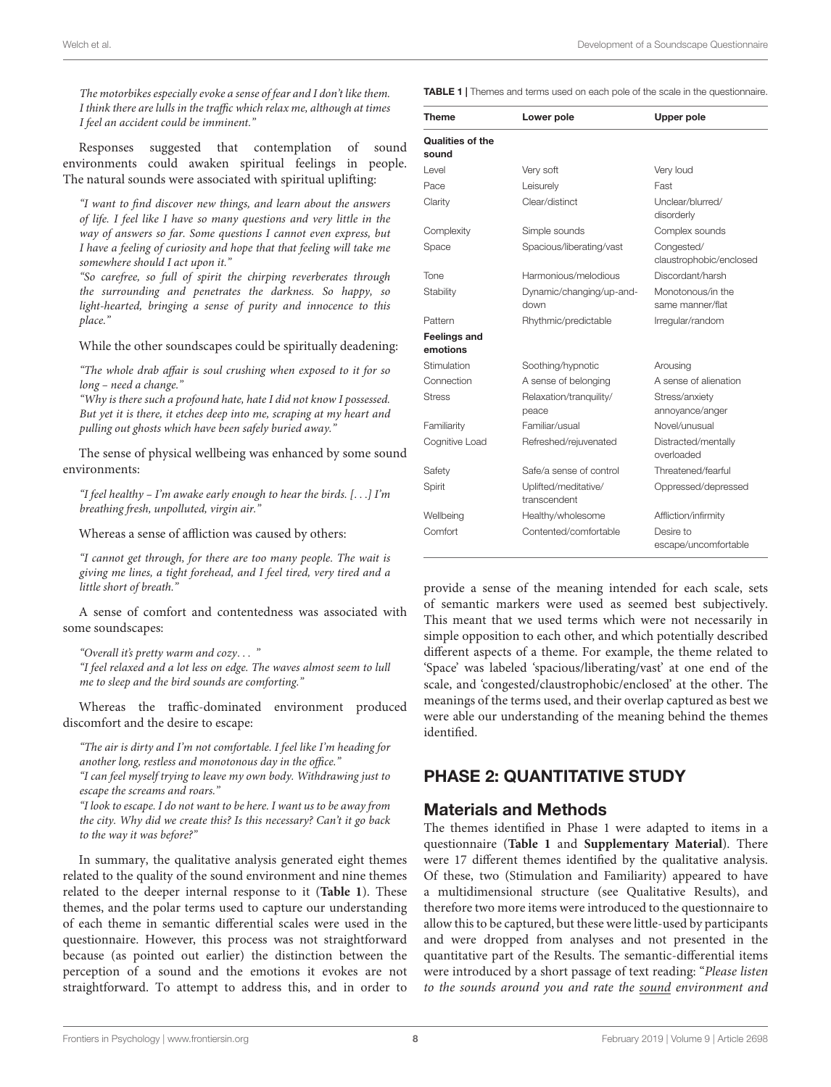Welch et al. Development of a Soundscape Questionnaire

The motorbikes especially evoke a sense of fear and I don't like them. I think there are lulls in the traffic which relax me, although at times I feel an accident could be imminent."

Responses suggested that contemplation of sound environments could awaken spiritual feelings in people. The natural sounds were associated with spiritual uplifting:

"I want to find discover new things, and learn about the answers of life. I feel like I have so many questions and very little in the way of answers so far. Some questions I cannot even express, but I have a feeling of curiosity and hope that that feeling will take me somewhere should I act upon it."

"So carefree, so full of spirit the chirping reverberates through the surrounding and penetrates the darkness. So happy, so light-hearted, bringing a sense of purity and innocence to this place."

While the other soundscapes could be spiritually deadening:

"The whole drab affair is soul crushing when exposed to it for so long – need a change."

"Why is there such a profound hate, hate I did not know I possessed. But yet it is there, it etches deep into me, scraping at my heart and pulling out ghosts which have been safely buried away."

The sense of physical wellbeing was enhanced by some sound environments:

"I feel healthy  $- \Gamma m$  awake early enough to hear the birds. [...]  $\Gamma m$ breathing fresh, unpolluted, virgin air."

Whereas a sense of affliction was caused by others:

"I cannot get through, for there are too many people. The wait is giving me lines, a tight forehead, and I feel tired, very tired and a little short of breath."

A sense of comfort and contentedness was associated with some soundscapes:

"Overall it's pretty warm and cozy. . . "

"I feel relaxed and a lot less on edge. The waves almost seem to lull me to sleep and the bird sounds are comforting."

Whereas the traffic-dominated environment produced discomfort and the desire to escape:

"The air is dirty and I'm not comfortable. I feel like I'm heading for another long, restless and monotonous day in the office." "I can feel myself trying to leave my own body. Withdrawing just to escape the screams and roars."

"I look to escape. I do not want to be here. I want us to be away from the city. Why did we create this? Is this necessary? Can't it go back to the way it was before?"

In summary, the qualitative analysis generated eight themes related to the quality of the sound environment and nine themes related to the deeper internal response to it (**[Table 1](#page-7-0)**). These themes, and the polar terms used to capture our understanding of each theme in semantic differential scales were used in the questionnaire. However, this process was not straightforward because (as pointed out earlier) the distinction between the perception of a sound and the emotions it evokes are not straightforward. To attempt to address this, and in order to

<span id="page-7-0"></span>**TABLE 1** | Themes and terms used on each pole of the scale in the questionnaire.

| Theme                            | Lower pole                           | <b>Upper pole</b>                     |  |  |
|----------------------------------|--------------------------------------|---------------------------------------|--|--|
| <b>Qualities of the</b><br>sound |                                      |                                       |  |  |
| Level                            | Very soft                            | Very loud                             |  |  |
| Pace                             | Leisurely                            | Fast                                  |  |  |
| Clarity                          | Clear/distinct                       | Unclear/blurred/<br>disorderly        |  |  |
| Complexity                       | Simple sounds                        | Complex sounds                        |  |  |
| Space                            | Spacious/liberating/vast             | Congested/<br>claustrophobic/enclosed |  |  |
| Tone                             | Harmonious/melodious                 | Discordant/harsh                      |  |  |
| Stability                        | Dynamic/changing/up-and-<br>down     | Monotonous/in the<br>same manner/flat |  |  |
| Pattern                          | Rhythmic/predictable                 | Irregular/random                      |  |  |
| <b>Feelings and</b><br>emotions  |                                      |                                       |  |  |
| Stimulation                      | Soothing/hypnotic                    | Arousing                              |  |  |
| Connection                       | A sense of belonging                 | A sense of alienation                 |  |  |
| <b>Stress</b>                    | Relaxation/tranquility/<br>peace     | Stress/anxiety<br>annoyance/anger     |  |  |
| Familiarity                      | Familiar/usual                       | Novel/unusual                         |  |  |
| Cognitive Load                   | Refreshed/rejuvenated                | Distracted/mentally<br>overloaded     |  |  |
| Safety                           | Safe/a sense of control              | Threatened/fearful                    |  |  |
| Spirit                           | Uplifted/meditative/<br>transcendent | Oppressed/depressed                   |  |  |
| Wellbeing                        | Healthy/wholesome                    | Affliction/infirmity                  |  |  |
| Comfort                          | Contented/comfortable                | Desire to<br>escape/uncomfortable     |  |  |

provide a sense of the meaning intended for each scale, sets of semantic markers were used as seemed best subjectively. This meant that we used terms which were not necessarily in simple opposition to each other, and which potentially described different aspects of a theme. For example, the theme related to 'Space' was labeled 'spacious/liberating/vast' at one end of the scale, and 'congested/claustrophobic/enclosed' at the other. The meanings of the terms used, and their overlap captured as best we were able our understanding of the meaning behind the themes identified.

# PHASE 2: QUANTITATIVE STUDY

#### Materials and Methods

The themes identified in Phase 1 were adapted to items in a questionnaire (**[Table 1](#page-7-0)** and **[Supplementary Material](#page-14-24)**). There were 17 different themes identified by the qualitative analysis. Of these, two (Stimulation and Familiarity) appeared to have a multidimensional structure (see Qualitative Results), and therefore two more items were introduced to the questionnaire to allow this to be captured, but these were little-used by participants and were dropped from analyses and not presented in the quantitative part of the Results. The semantic-differential items were introduced by a short passage of text reading: "Please listen to the sounds around you and rate the sound environment and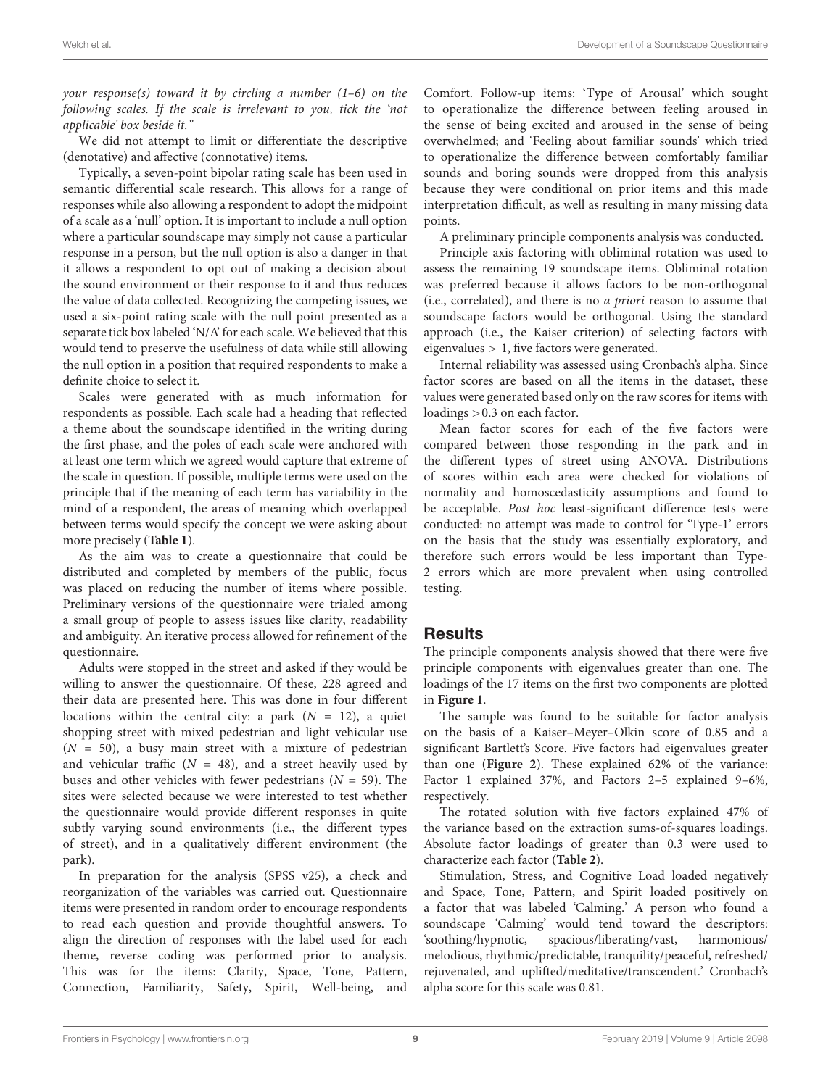your response(s) toward it by circling a number  $(1-6)$  on the following scales. If the scale is irrelevant to you, tick the 'not applicable' box beside it."

We did not attempt to limit or differentiate the descriptive (denotative) and affective (connotative) items.

Typically, a seven-point bipolar rating scale has been used in semantic differential scale research. This allows for a range of responses while also allowing a respondent to adopt the midpoint of a scale as a 'null' option. It is important to include a null option where a particular soundscape may simply not cause a particular response in a person, but the null option is also a danger in that it allows a respondent to opt out of making a decision about the sound environment or their response to it and thus reduces the value of data collected. Recognizing the competing issues, we used a six-point rating scale with the null point presented as a separate tick box labeled 'N/A' for each scale. We believed that this would tend to preserve the usefulness of data while still allowing the null option in a position that required respondents to make a definite choice to select it.

Scales were generated with as much information for respondents as possible. Each scale had a heading that reflected a theme about the soundscape identified in the writing during the first phase, and the poles of each scale were anchored with at least one term which we agreed would capture that extreme of the scale in question. If possible, multiple terms were used on the principle that if the meaning of each term has variability in the mind of a respondent, the areas of meaning which overlapped between terms would specify the concept we were asking about more precisely (**[Table 1](#page-7-0)**).

As the aim was to create a questionnaire that could be distributed and completed by members of the public, focus was placed on reducing the number of items where possible. Preliminary versions of the questionnaire were trialed among a small group of people to assess issues like clarity, readability and ambiguity. An iterative process allowed for refinement of the questionnaire.

Adults were stopped in the street and asked if they would be willing to answer the questionnaire. Of these, 228 agreed and their data are presented here. This was done in four different locations within the central city: a park  $(N = 12)$ , a quiet shopping street with mixed pedestrian and light vehicular use  $(N = 50)$ , a busy main street with a mixture of pedestrian and vehicular traffic  $(N = 48)$ , and a street heavily used by buses and other vehicles with fewer pedestrians ( $N = 59$ ). The sites were selected because we were interested to test whether the questionnaire would provide different responses in quite subtly varying sound environments (i.e., the different types of street), and in a qualitatively different environment (the park).

In preparation for the analysis (SPSS v25), a check and reorganization of the variables was carried out. Questionnaire items were presented in random order to encourage respondents to read each question and provide thoughtful answers. To align the direction of responses with the label used for each theme, reverse coding was performed prior to analysis. This was for the items: Clarity, Space, Tone, Pattern, Connection, Familiarity, Safety, Spirit, Well-being, and

Comfort. Follow-up items: 'Type of Arousal' which sought to operationalize the difference between feeling aroused in the sense of being excited and aroused in the sense of being overwhelmed; and 'Feeling about familiar sounds' which tried to operationalize the difference between comfortably familiar sounds and boring sounds were dropped from this analysis because they were conditional on prior items and this made interpretation difficult, as well as resulting in many missing data points.

A preliminary principle components analysis was conducted.

Principle axis factoring with obliminal rotation was used to assess the remaining 19 soundscape items. Obliminal rotation was preferred because it allows factors to be non-orthogonal (i.e., correlated), and there is no a priori reason to assume that soundscape factors would be orthogonal. Using the standard approach (i.e., the Kaiser criterion) of selecting factors with eigenvalues > 1, five factors were generated.

Internal reliability was assessed using Cronbach's alpha. Since factor scores are based on all the items in the dataset, these values were generated based only on the raw scores for items with loadings >0.3 on each factor.

Mean factor scores for each of the five factors were compared between those responding in the park and in the different types of street using ANOVA. Distributions of scores within each area were checked for violations of normality and homoscedasticity assumptions and found to be acceptable. Post hoc least-significant difference tests were conducted: no attempt was made to control for 'Type-1' errors on the basis that the study was essentially exploratory, and therefore such errors would be less important than Type-2 errors which are more prevalent when using controlled testing.

### **Results**

The principle components analysis showed that there were five principle components with eigenvalues greater than one. The loadings of the 17 items on the first two components are plotted in **[Figure 1](#page-9-0)**.

The sample was found to be suitable for factor analysis on the basis of a Kaiser–Meyer–Olkin score of 0.85 and a significant Bartlett's Score. Five factors had eigenvalues greater than one (**[Figure 2](#page-9-1)**). These explained 62% of the variance: Factor 1 explained 37%, and Factors 2–5 explained 9–6%, respectively.

The rotated solution with five factors explained 47% of the variance based on the extraction sums-of-squares loadings. Absolute factor loadings of greater than 0.3 were used to characterize each factor (**[Table 2](#page-10-0)**).

Stimulation, Stress, and Cognitive Load loaded negatively and Space, Tone, Pattern, and Spirit loaded positively on a factor that was labeled 'Calming.' A person who found a soundscape 'Calming' would tend toward the descriptors: 'soothing/hypnotic, spacious/liberating/vast, harmonious/ melodious, rhythmic/predictable, tranquility/peaceful, refreshed/ rejuvenated, and uplifted/meditative/transcendent.' Cronbach's alpha score for this scale was 0.81.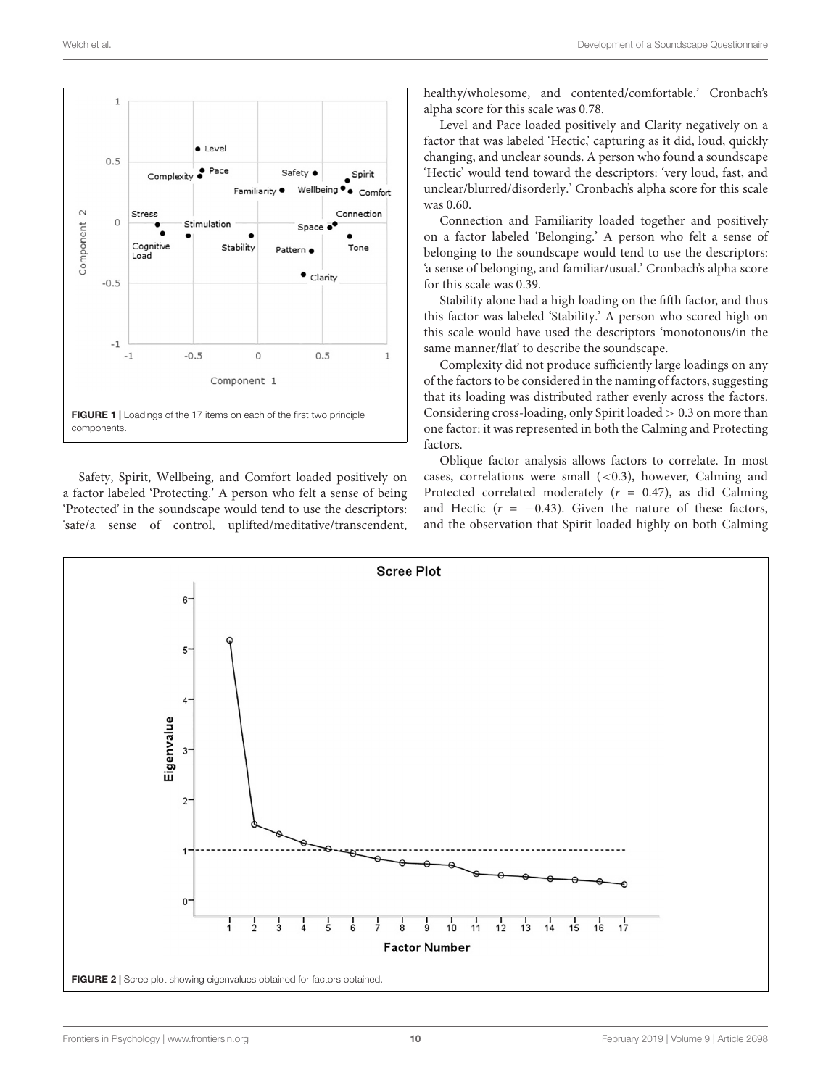

<span id="page-9-0"></span>Safety, Spirit, Wellbeing, and Comfort loaded positively on a factor labeled 'Protecting.' A person who felt a sense of being 'Protected' in the soundscape would tend to use the descriptors: 'safe/a sense of control, uplifted/meditative/transcendent,

healthy/wholesome, and contented/comfortable.' Cronbach's alpha score for this scale was 0.78.

Level and Pace loaded positively and Clarity negatively on a factor that was labeled 'Hectic,' capturing as it did, loud, quickly changing, and unclear sounds. A person who found a soundscape 'Hectic' would tend toward the descriptors: 'very loud, fast, and unclear/blurred/disorderly.' Cronbach's alpha score for this scale was 0.60.

Connection and Familiarity loaded together and positively on a factor labeled 'Belonging.' A person who felt a sense of belonging to the soundscape would tend to use the descriptors: 'a sense of belonging, and familiar/usual.' Cronbach's alpha score for this scale was 0.39.

Stability alone had a high loading on the fifth factor, and thus this factor was labeled 'Stability.' A person who scored high on this scale would have used the descriptors 'monotonous/in the same manner/flat' to describe the soundscape.

Complexity did not produce sufficiently large loadings on any of the factors to be considered in the naming of factors, suggesting that its loading was distributed rather evenly across the factors. Considering cross-loading, only Spirit loaded > 0.3 on more than one factor: it was represented in both the Calming and Protecting factors.

Oblique factor analysis allows factors to correlate. In most cases, correlations were small  $( $0.3$ ), however, Calling and$ Protected correlated moderately  $(r = 0.47)$ , as did Calming and Hectic ( $r = -0.43$ ). Given the nature of these factors, and the observation that Spirit loaded highly on both Calming

<span id="page-9-1"></span>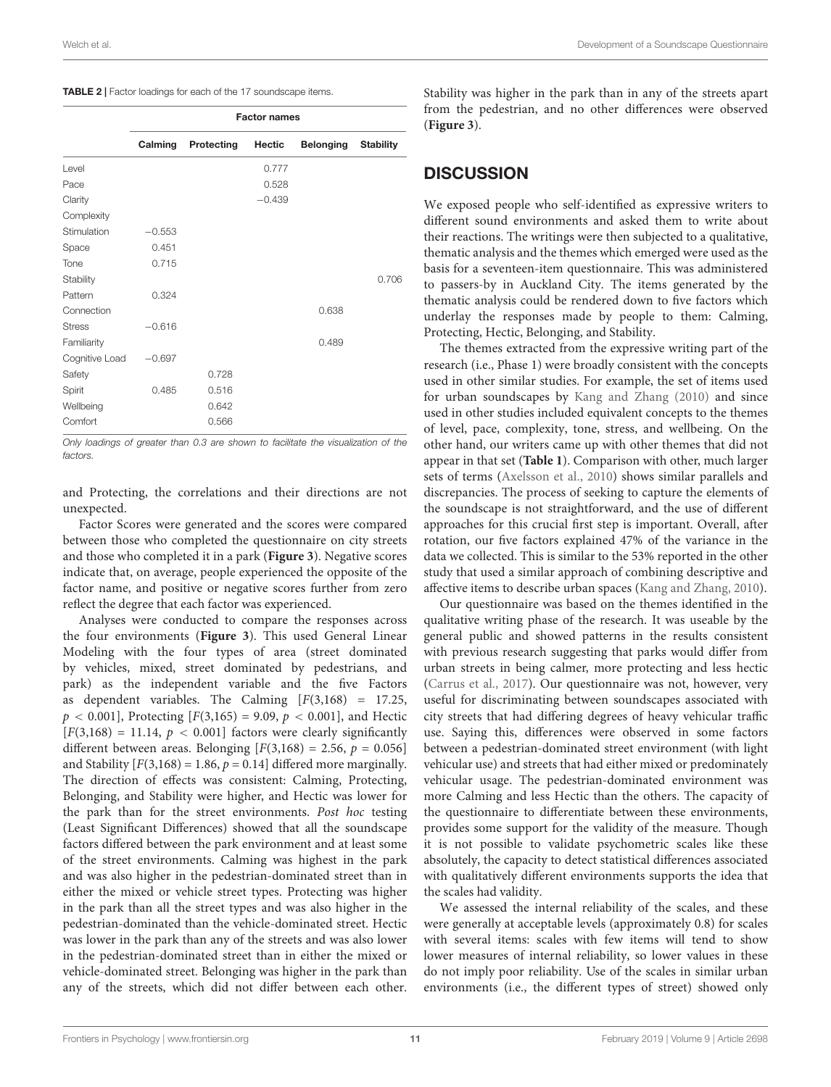<span id="page-10-0"></span>

|  |  |  |  |  |  | <b>TABLE 2</b>   Factor loadings for each of the 17 soundscape items. |
|--|--|--|--|--|--|-----------------------------------------------------------------------|
|--|--|--|--|--|--|-----------------------------------------------------------------------|

|                | <b>Factor names</b> |            |          |                  |                  |  |  |
|----------------|---------------------|------------|----------|------------------|------------------|--|--|
|                | Calming             | Protecting | Hectic   | <b>Belonging</b> | <b>Stability</b> |  |  |
| Level          |                     |            | 0.777    |                  |                  |  |  |
| Pace           |                     |            | 0.528    |                  |                  |  |  |
| Clarity        |                     |            | $-0.439$ |                  |                  |  |  |
| Complexity     |                     |            |          |                  |                  |  |  |
| Stimulation    | $-0.553$            |            |          |                  |                  |  |  |
| Space          | 0.451               |            |          |                  |                  |  |  |
| Tone           | 0.715               |            |          |                  |                  |  |  |
| Stability      |                     |            |          |                  | 0.706            |  |  |
| Pattern        | 0.324               |            |          |                  |                  |  |  |
| Connection     |                     |            |          | 0.638            |                  |  |  |
| <b>Stress</b>  | $-0.616$            |            |          |                  |                  |  |  |
| Familiarity    |                     |            |          | 0.489            |                  |  |  |
| Cognitive Load | $-0.697$            |            |          |                  |                  |  |  |
| Safety         |                     | 0.728      |          |                  |                  |  |  |
| Spirit         | 0.485               | 0.516      |          |                  |                  |  |  |
| Wellbeing      |                     | 0.642      |          |                  |                  |  |  |
| Comfort        |                     | 0.566      |          |                  |                  |  |  |

Only loadings of greater than 0.3 are shown to facilitate the visualization of the factors.

and Protecting, the correlations and their directions are not unexpected.

Factor Scores were generated and the scores were compared between those who completed the questionnaire on city streets and those who completed it in a park (**[Figure 3](#page-11-0)**). Negative scores indicate that, on average, people experienced the opposite of the factor name, and positive or negative scores further from zero reflect the degree that each factor was experienced.

Analyses were conducted to compare the responses across the four environments (**[Figure 3](#page-11-0)**). This used General Linear Modeling with the four types of area (street dominated by vehicles, mixed, street dominated by pedestrians, and park) as the independent variable and the five Factors as dependent variables. The Calming  $[F(3,168) = 17.25,$  $p < 0.001$ ], Protecting [F(3,165) = 9.09,  $p < 0.001$ ], and Hectic  $[F(3,168) = 11.14, p < 0.001]$  factors were clearly significantly different between areas. Belonging  $[F(3,168) = 2.56, p = 0.056]$ and Stability  $[F(3,168) = 1.86, p = 0.14]$  differed more marginally. The direction of effects was consistent: Calming, Protecting, Belonging, and Stability were higher, and Hectic was lower for the park than for the street environments. Post hoc testing (Least Significant Differences) showed that all the soundscape factors differed between the park environment and at least some of the street environments. Calming was highest in the park and was also higher in the pedestrian-dominated street than in either the mixed or vehicle street types. Protecting was higher in the park than all the street types and was also higher in the pedestrian-dominated than the vehicle-dominated street. Hectic was lower in the park than any of the streets and was also lower in the pedestrian-dominated street than in either the mixed or vehicle-dominated street. Belonging was higher in the park than any of the streets, which did not differ between each other.

Stability was higher in the park than in any of the streets apart from the pedestrian, and no other differences were observed (**[Figure 3](#page-11-0)**).

## **DISCUSSION**

We exposed people who self-identified as expressive writers to different sound environments and asked them to write about their reactions. The writings were then subjected to a qualitative, thematic analysis and the themes which emerged were used as the basis for a seventeen-item questionnaire. This was administered to passers-by in Auckland City. The items generated by the thematic analysis could be rendered down to five factors which underlay the responses made by people to them: Calming, Protecting, Hectic, Belonging, and Stability.

The themes extracted from the expressive writing part of the research (i.e., Phase 1) were broadly consistent with the concepts used in other similar studies. For example, the set of items used for urban soundscapes by [Kang and Zhang](#page-14-8) [\(2010\)](#page-14-8) and since used in other studies included equivalent concepts to the themes of level, pace, complexity, tone, stress, and wellbeing. On the other hand, our writers came up with other themes that did not appear in that set (**[Table 1](#page-7-0)**). Comparison with other, much larger sets of terms [\(Axelsson et al.,](#page-14-12) [2010\)](#page-14-12) shows similar parallels and discrepancies. The process of seeking to capture the elements of the soundscape is not straightforward, and the use of different approaches for this crucial first step is important. Overall, after rotation, our five factors explained 47% of the variance in the data we collected. This is similar to the 53% reported in the other study that used a similar approach of combining descriptive and affective items to describe urban spaces [\(Kang and Zhang,](#page-14-8) [2010\)](#page-14-8).

Our questionnaire was based on the themes identified in the qualitative writing phase of the research. It was useable by the general public and showed patterns in the results consistent with previous research suggesting that parks would differ from urban streets in being calmer, more protecting and less hectic [\(Carrus et al.,](#page-14-25) [2017\)](#page-14-25). Our questionnaire was not, however, very useful for discriminating between soundscapes associated with city streets that had differing degrees of heavy vehicular traffic use. Saying this, differences were observed in some factors between a pedestrian-dominated street environment (with light vehicular use) and streets that had either mixed or predominately vehicular usage. The pedestrian-dominated environment was more Calming and less Hectic than the others. The capacity of the questionnaire to differentiate between these environments, provides some support for the validity of the measure. Though it is not possible to validate psychometric scales like these absolutely, the capacity to detect statistical differences associated with qualitatively different environments supports the idea that the scales had validity.

We assessed the internal reliability of the scales, and these were generally at acceptable levels (approximately 0.8) for scales with several items: scales with few items will tend to show lower measures of internal reliability, so lower values in these do not imply poor reliability. Use of the scales in similar urban environments (i.e., the different types of street) showed only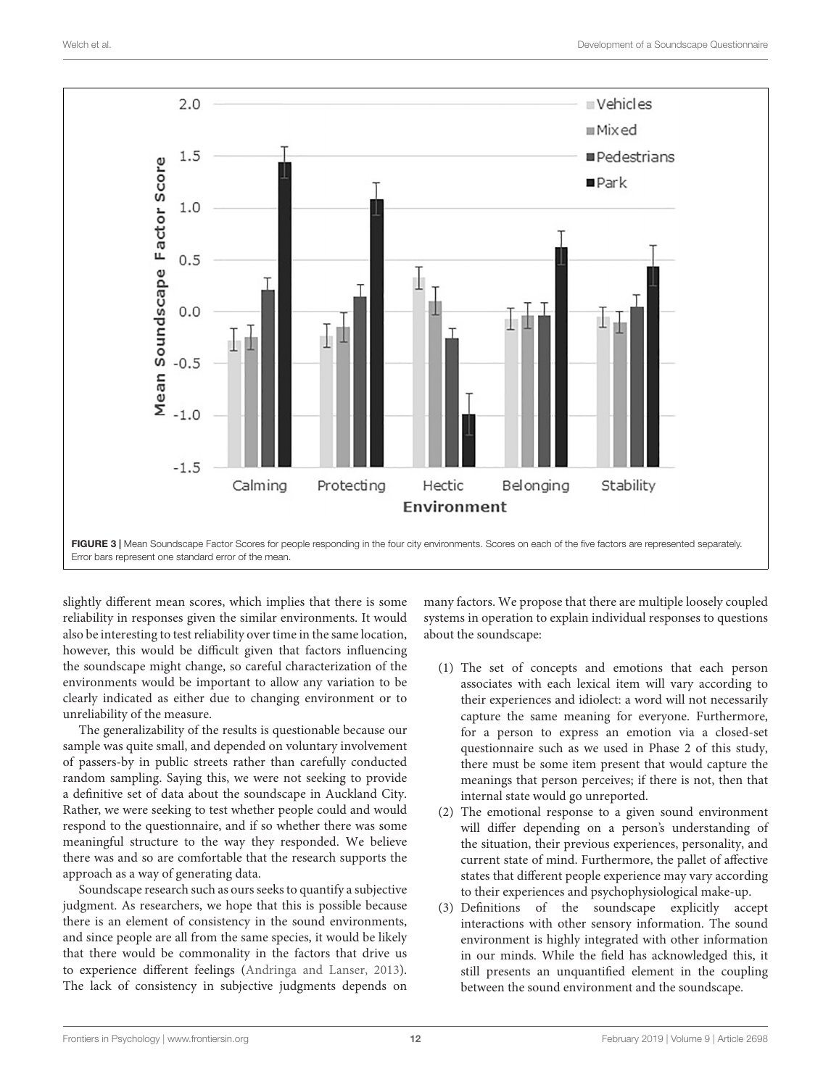

<span id="page-11-0"></span>slightly different mean scores, which implies that there is some reliability in responses given the similar environments. It would also be interesting to test reliability over time in the same location, however, this would be difficult given that factors influencing the soundscape might change, so careful characterization of the environments would be important to allow any variation to be clearly indicated as either due to changing environment or to unreliability of the measure.

The generalizability of the results is questionable because our sample was quite small, and depended on voluntary involvement of passers-by in public streets rather than carefully conducted random sampling. Saying this, we were not seeking to provide a definitive set of data about the soundscape in Auckland City. Rather, we were seeking to test whether people could and would respond to the questionnaire, and if so whether there was some meaningful structure to the way they responded. We believe there was and so are comfortable that the research supports the approach as a way of generating data.

Soundscape research such as ours seeks to quantify a subjective judgment. As researchers, we hope that this is possible because there is an element of consistency in the sound environments, and since people are all from the same species, it would be likely that there would be commonality in the factors that drive us to experience different feelings [\(Andringa and Lanser,](#page-14-15) [2013\)](#page-14-15). The lack of consistency in subjective judgments depends on

many factors. We propose that there are multiple loosely coupled systems in operation to explain individual responses to questions about the soundscape:

- (1) The set of concepts and emotions that each person associates with each lexical item will vary according to their experiences and idiolect: a word will not necessarily capture the same meaning for everyone. Furthermore, for a person to express an emotion via a closed-set questionnaire such as we used in Phase 2 of this study, there must be some item present that would capture the meanings that person perceives; if there is not, then that internal state would go unreported.
- (2) The emotional response to a given sound environment will differ depending on a person's understanding of the situation, their previous experiences, personality, and current state of mind. Furthermore, the pallet of affective states that different people experience may vary according to their experiences and psychophysiological make-up.
- (3) Definitions of the soundscape explicitly accept interactions with other sensory information. The sound environment is highly integrated with other information in our minds. While the field has acknowledged this, it still presents an unquantified element in the coupling between the sound environment and the soundscape.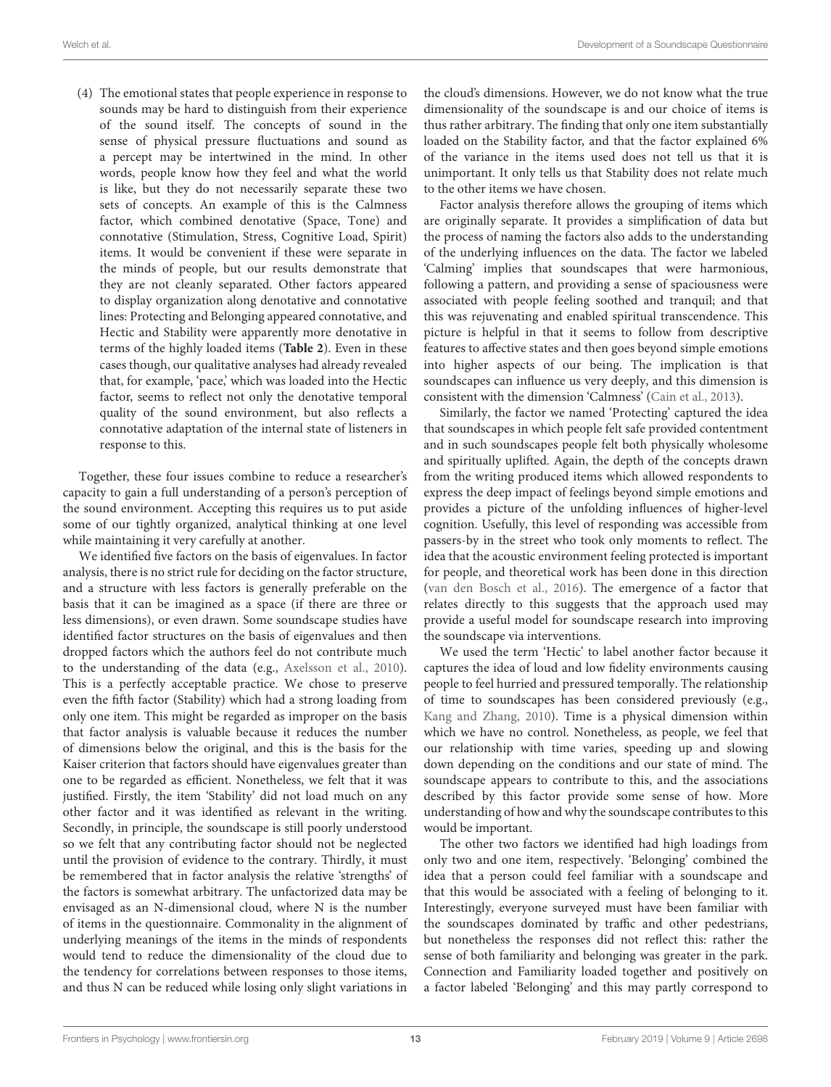(4) The emotional states that people experience in response to sounds may be hard to distinguish from their experience of the sound itself. The concepts of sound in the sense of physical pressure fluctuations and sound as a percept may be intertwined in the mind. In other words, people know how they feel and what the world is like, but they do not necessarily separate these two sets of concepts. An example of this is the Calmness factor, which combined denotative (Space, Tone) and connotative (Stimulation, Stress, Cognitive Load, Spirit) items. It would be convenient if these were separate in the minds of people, but our results demonstrate that they are not cleanly separated. Other factors appeared to display organization along denotative and connotative lines: Protecting and Belonging appeared connotative, and Hectic and Stability were apparently more denotative in terms of the highly loaded items (**[Table 2](#page-10-0)**). Even in these cases though, our qualitative analyses had already revealed that, for example, 'pace,' which was loaded into the Hectic factor, seems to reflect not only the denotative temporal quality of the sound environment, but also reflects a connotative adaptation of the internal state of listeners in response to this.

Together, these four issues combine to reduce a researcher's capacity to gain a full understanding of a person's perception of the sound environment. Accepting this requires us to put aside some of our tightly organized, analytical thinking at one level while maintaining it very carefully at another.

We identified five factors on the basis of eigenvalues. In factor analysis, there is no strict rule for deciding on the factor structure, and a structure with less factors is generally preferable on the basis that it can be imagined as a space (if there are three or less dimensions), or even drawn. Some soundscape studies have identified factor structures on the basis of eigenvalues and then dropped factors which the authors feel do not contribute much to the understanding of the data (e.g., [Axelsson et al.,](#page-14-12) [2010\)](#page-14-12). This is a perfectly acceptable practice. We chose to preserve even the fifth factor (Stability) which had a strong loading from only one item. This might be regarded as improper on the basis that factor analysis is valuable because it reduces the number of dimensions below the original, and this is the basis for the Kaiser criterion that factors should have eigenvalues greater than one to be regarded as efficient. Nonetheless, we felt that it was justified. Firstly, the item 'Stability' did not load much on any other factor and it was identified as relevant in the writing. Secondly, in principle, the soundscape is still poorly understood so we felt that any contributing factor should not be neglected until the provision of evidence to the contrary. Thirdly, it must be remembered that in factor analysis the relative 'strengths' of the factors is somewhat arbitrary. The unfactorized data may be envisaged as an N-dimensional cloud, where N is the number of items in the questionnaire. Commonality in the alignment of underlying meanings of the items in the minds of respondents would tend to reduce the dimensionality of the cloud due to the tendency for correlations between responses to those items, and thus N can be reduced while losing only slight variations in

the cloud's dimensions. However, we do not know what the true dimensionality of the soundscape is and our choice of items is thus rather arbitrary. The finding that only one item substantially loaded on the Stability factor, and that the factor explained 6% of the variance in the items used does not tell us that it is unimportant. It only tells us that Stability does not relate much to the other items we have chosen.

Factor analysis therefore allows the grouping of items which are originally separate. It provides a simplification of data but the process of naming the factors also adds to the understanding of the underlying influences on the data. The factor we labeled 'Calming' implies that soundscapes that were harmonious, following a pattern, and providing a sense of spaciousness were associated with people feeling soothed and tranquil; and that this was rejuvenating and enabled spiritual transcendence. This picture is helpful in that it seems to follow from descriptive features to affective states and then goes beyond simple emotions into higher aspects of our being. The implication is that soundscapes can influence us very deeply, and this dimension is consistent with the dimension 'Calmness' [\(Cain et al.,](#page-14-9) [2013\)](#page-14-9).

Similarly, the factor we named 'Protecting' captured the idea that soundscapes in which people felt safe provided contentment and in such soundscapes people felt both physically wholesome and spiritually uplifted. Again, the depth of the concepts drawn from the writing produced items which allowed respondents to express the deep impact of feelings beyond simple emotions and provides a picture of the unfolding influences of higher-level cognition. Usefully, this level of responding was accessible from passers-by in the street who took only moments to reflect. The idea that the acoustic environment feeling protected is important for people, and theoretical work has been done in this direction [\(van den Bosch et al.,](#page-15-5) [2016\)](#page-15-5). The emergence of a factor that relates directly to this suggests that the approach used may provide a useful model for soundscape research into improving the soundscape via interventions.

We used the term 'Hectic' to label another factor because it captures the idea of loud and low fidelity environments causing people to feel hurried and pressured temporally. The relationship of time to soundscapes has been considered previously (e.g., [Kang and Zhang,](#page-14-8) [2010\)](#page-14-8). Time is a physical dimension within which we have no control. Nonetheless, as people, we feel that our relationship with time varies, speeding up and slowing down depending on the conditions and our state of mind. The soundscape appears to contribute to this, and the associations described by this factor provide some sense of how. More understanding of how and why the soundscape contributes to this would be important.

The other two factors we identified had high loadings from only two and one item, respectively. 'Belonging' combined the idea that a person could feel familiar with a soundscape and that this would be associated with a feeling of belonging to it. Interestingly, everyone surveyed must have been familiar with the soundscapes dominated by traffic and other pedestrians, but nonetheless the responses did not reflect this: rather the sense of both familiarity and belonging was greater in the park. Connection and Familiarity loaded together and positively on a factor labeled 'Belonging' and this may partly correspond to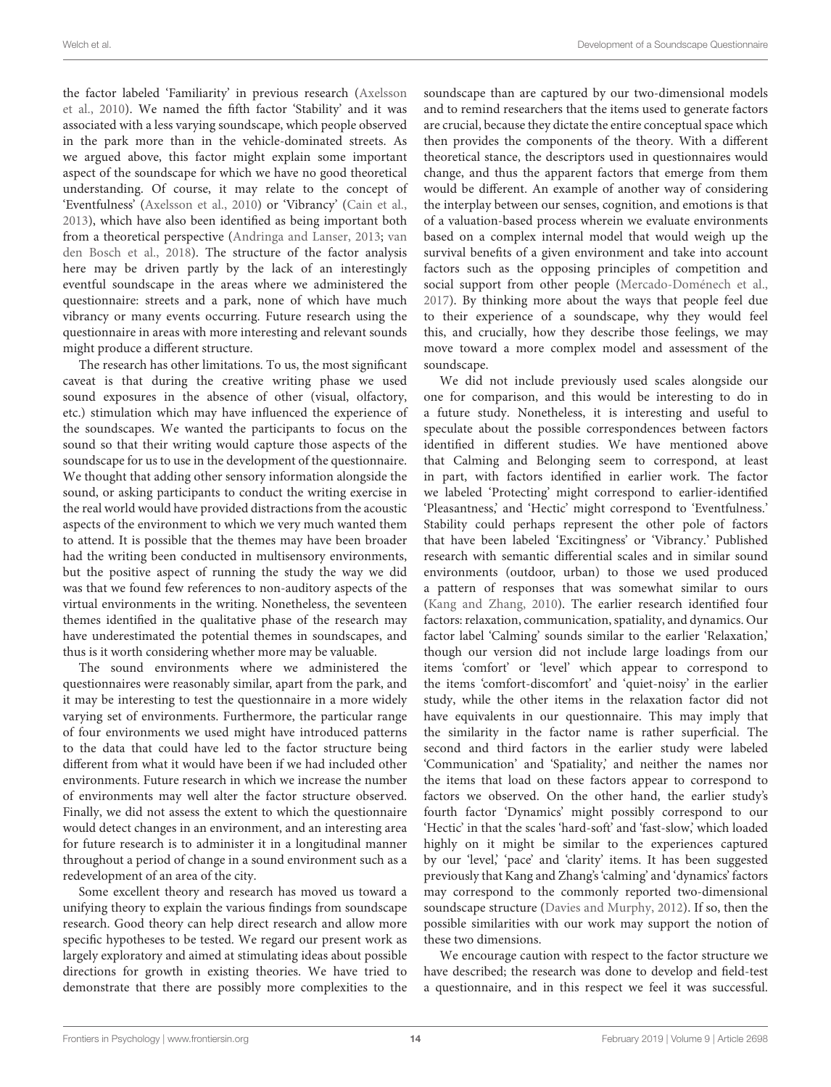the factor labeled 'Familiarity' in previous research [\(Axelsson](#page-14-12) [et al.,](#page-14-12) [2010\)](#page-14-12). We named the fifth factor 'Stability' and it was associated with a less varying soundscape, which people observed in the park more than in the vehicle-dominated streets. As we argued above, this factor might explain some important aspect of the soundscape for which we have no good theoretical understanding. Of course, it may relate to the concept of 'Eventfulness' [\(Axelsson et al.,](#page-14-12) [2010\)](#page-14-12) or 'Vibrancy' [\(Cain et al.,](#page-14-9) [2013\)](#page-14-9), which have also been identified as being important both from a theoretical perspective [\(Andringa and Lanser,](#page-14-15) [2013;](#page-14-15) [van](#page-15-4) [den Bosch et al.,](#page-15-4) [2018\)](#page-15-4). The structure of the factor analysis here may be driven partly by the lack of an interestingly eventful soundscape in the areas where we administered the questionnaire: streets and a park, none of which have much vibrancy or many events occurring. Future research using the questionnaire in areas with more interesting and relevant sounds might produce a different structure.

The research has other limitations. To us, the most significant caveat is that during the creative writing phase we used sound exposures in the absence of other (visual, olfactory, etc.) stimulation which may have influenced the experience of the soundscapes. We wanted the participants to focus on the sound so that their writing would capture those aspects of the soundscape for us to use in the development of the questionnaire. We thought that adding other sensory information alongside the sound, or asking participants to conduct the writing exercise in the real world would have provided distractions from the acoustic aspects of the environment to which we very much wanted them to attend. It is possible that the themes may have been broader had the writing been conducted in multisensory environments, but the positive aspect of running the study the way we did was that we found few references to non-auditory aspects of the virtual environments in the writing. Nonetheless, the seventeen themes identified in the qualitative phase of the research may have underestimated the potential themes in soundscapes, and thus is it worth considering whether more may be valuable.

The sound environments where we administered the questionnaires were reasonably similar, apart from the park, and it may be interesting to test the questionnaire in a more widely varying set of environments. Furthermore, the particular range of four environments we used might have introduced patterns to the data that could have led to the factor structure being different from what it would have been if we had included other environments. Future research in which we increase the number of environments may well alter the factor structure observed. Finally, we did not assess the extent to which the questionnaire would detect changes in an environment, and an interesting area for future research is to administer it in a longitudinal manner throughout a period of change in a sound environment such as a redevelopment of an area of the city.

Some excellent theory and research has moved us toward a unifying theory to explain the various findings from soundscape research. Good theory can help direct research and allow more specific hypotheses to be tested. We regard our present work as largely exploratory and aimed at stimulating ideas about possible directions for growth in existing theories. We have tried to demonstrate that there are possibly more complexities to the soundscape than are captured by our two-dimensional models and to remind researchers that the items used to generate factors are crucial, because they dictate the entire conceptual space which then provides the components of the theory. With a different theoretical stance, the descriptors used in questionnaires would change, and thus the apparent factors that emerge from them would be different. An example of another way of considering the interplay between our senses, cognition, and emotions is that of a valuation-based process wherein we evaluate environments based on a complex internal model that would weigh up the survival benefits of a given environment and take into account factors such as the opposing principles of competition and social support from other people [\(Mercado-Doménech et al.,](#page-14-26) [2017\)](#page-14-26). By thinking more about the ways that people feel due to their experience of a soundscape, why they would feel this, and crucially, how they describe those feelings, we may move toward a more complex model and assessment of the soundscape.

We did not include previously used scales alongside our one for comparison, and this would be interesting to do in a future study. Nonetheless, it is interesting and useful to speculate about the possible correspondences between factors identified in different studies. We have mentioned above that Calming and Belonging seem to correspond, at least in part, with factors identified in earlier work. The factor we labeled 'Protecting' might correspond to earlier-identified 'Pleasantness,' and 'Hectic' might correspond to 'Eventfulness.' Stability could perhaps represent the other pole of factors that have been labeled 'Excitingness' or 'Vibrancy.' Published research with semantic differential scales and in similar sound environments (outdoor, urban) to those we used produced a pattern of responses that was somewhat similar to ours [\(Kang and Zhang,](#page-14-8) [2010\)](#page-14-8). The earlier research identified four factors: relaxation, communication, spatiality, and dynamics. Our factor label 'Calming' sounds similar to the earlier 'Relaxation,' though our version did not include large loadings from our items 'comfort' or 'level' which appear to correspond to the items 'comfort-discomfort' and 'quiet-noisy' in the earlier study, while the other items in the relaxation factor did not have equivalents in our questionnaire. This may imply that the similarity in the factor name is rather superficial. The second and third factors in the earlier study were labeled 'Communication' and 'Spatiality,' and neither the names nor the items that load on these factors appear to correspond to factors we observed. On the other hand, the earlier study's fourth factor 'Dynamics' might possibly correspond to our 'Hectic' in that the scales 'hard-soft' and 'fast-slow,' which loaded highly on it might be similar to the experiences captured by our 'level,' 'pace' and 'clarity' items. It has been suggested previously that Kang and Zhang's 'calming' and 'dynamics' factors may correspond to the commonly reported two-dimensional soundscape structure [\(Davies and Murphy,](#page-14-14) [2012\)](#page-14-14). If so, then the possible similarities with our work may support the notion of these two dimensions.

We encourage caution with respect to the factor structure we have described; the research was done to develop and field-test a questionnaire, and in this respect we feel it was successful.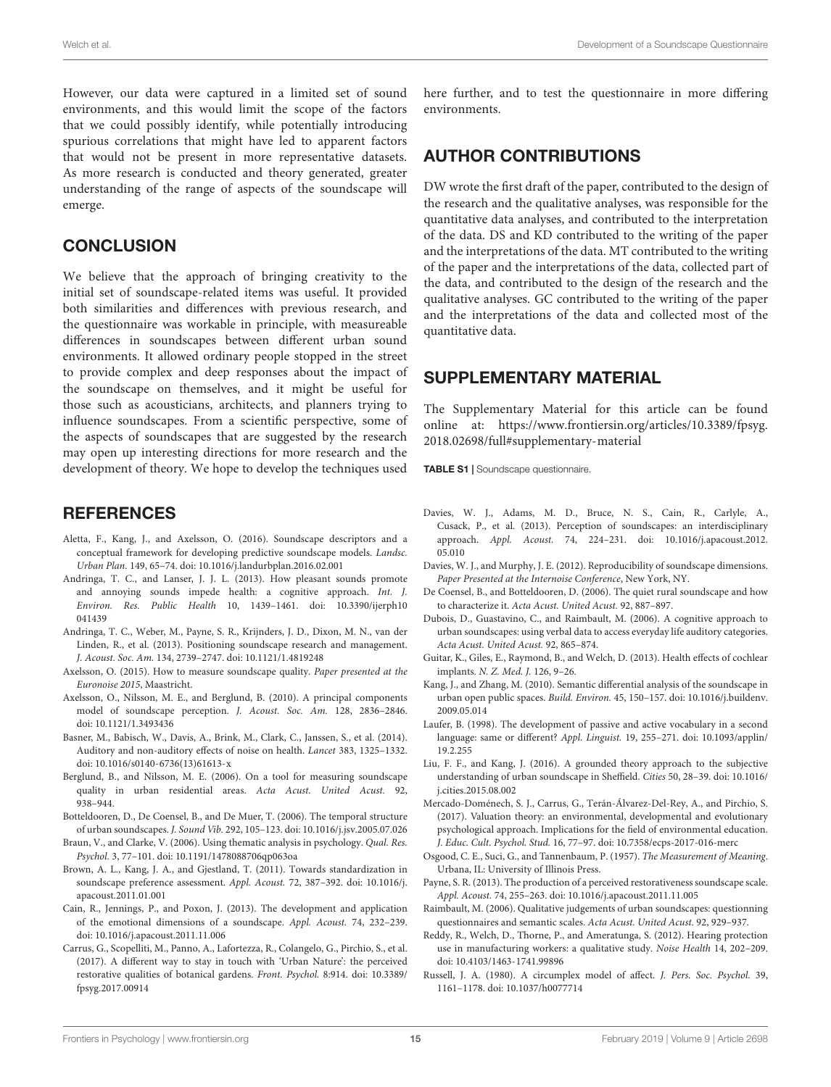However, our data were captured in a limited set of sound environments, and this would limit the scope of the factors that we could possibly identify, while potentially introducing spurious correlations that might have led to apparent factors that would not be present in more representative datasets. As more research is conducted and theory generated, greater understanding of the range of aspects of the soundscape will emerge.

## **CONCLUSION**

We believe that the approach of bringing creativity to the initial set of soundscape-related items was useful. It provided both similarities and differences with previous research, and the questionnaire was workable in principle, with measureable differences in soundscapes between different urban sound environments. It allowed ordinary people stopped in the street to provide complex and deep responses about the impact of the soundscape on themselves, and it might be useful for those such as acousticians, architects, and planners trying to influence soundscapes. From a scientific perspective, some of the aspects of soundscapes that are suggested by the research may open up interesting directions for more research and the development of theory. We hope to develop the techniques used

## **REFERENCES**

- <span id="page-14-18"></span>Aletta, F., Kang, J., and Axelsson, O. (2016). Soundscape descriptors and a conceptual framework for developing predictive soundscape models. Landsc. Urban Plan. 149, 65–74. [doi: 10.1016/j.landurbplan.2016.02.001](https://doi.org/10.1016/j.landurbplan.2016.02.001)
- <span id="page-14-15"></span>Andringa, T. C., and Lanser, J. J. L. (2013). How pleasant sounds promote and annoying sounds impede health: a cognitive approach. Int. J. Environ. Res. Public Health 10, 1439–1461. [doi: 10.3390/ijerph10](https://doi.org/10.3390/ijerph10041439) [041439](https://doi.org/10.3390/ijerph10041439)
- <span id="page-14-3"></span>Andringa, T. C., Weber, M., Payne, S. R., Krijnders, J. D., Dixon, M. N., van der Linden, R., et al. (2013). Positioning soundscape research and management. J. Acoust. Soc. Am. 134, 2739–2747. [doi: 10.1121/1.4819248](https://doi.org/10.1121/1.4819248)
- <span id="page-14-21"></span>Axelsson, O. (2015). How to measure soundscape quality. Paper presented at the Euronoise 2015, Maastricht.
- <span id="page-14-12"></span>Axelsson, O., Nilsson, M. E., and Berglund, B. (2010). A principal components model of soundscape perception. J. Acoust. Soc. Am. 128, 2836–2846. [doi: 10.1121/1.3493436](https://doi.org/10.1121/1.3493436)
- <span id="page-14-0"></span>Basner, M., Babisch, W., Davis, A., Brink, M., Clark, C., Janssen, S., et al. (2014). Auditory and non-auditory effects of noise on health. Lancet 383, 1325–1332. [doi: 10.1016/s0140-6736\(13\)61613-x](https://doi.org/10.1016/s0140-6736(13)61613-x)
- <span id="page-14-11"></span>Berglund, B., and Nilsson, M. E. (2006). On a tool for measuring soundscape quality in urban residential areas. Acta Acust. United Acust. 92, 938–944.
- <span id="page-14-5"></span>Botteldooren, D., De Coensel, B., and De Muer, T. (2006). The temporal structure of urban soundscapes. J. Sound Vib. 292, 105–123. [doi: 10.1016/j.jsv.2005.07.026](https://doi.org/10.1016/j.jsv.2005.07.026)
- <span id="page-14-23"></span>Braun, V., and Clarke, V. (2006). Using thematic analysis in psychology. Qual. Res. Psychol. 3, 77–101. [doi: 10.1191/1478088706qp063oa](https://doi.org/10.1191/1478088706qp063oa)
- <span id="page-14-22"></span>Brown, A. L., Kang, J. A., and Gjestland, T. (2011). Towards standardization in soundscape preference assessment. Appl. Acoust. 72, 387–392. [doi: 10.1016/j.](https://doi.org/10.1016/j.apacoust.2011.01.001) [apacoust.2011.01.001](https://doi.org/10.1016/j.apacoust.2011.01.001)
- <span id="page-14-9"></span>Cain, R., Jennings, P., and Poxon, J. (2013). The development and application of the emotional dimensions of a soundscape. Appl. Acoust. 74, 232–239. [doi: 10.1016/j.apacoust.2011.11.006](https://doi.org/10.1016/j.apacoust.2011.11.006)
- <span id="page-14-25"></span>Carrus, G., Scopelliti, M., Panno, A., Lafortezza, R., Colangelo, G., Pirchio, S., et al. (2017). A different way to stay in touch with 'Urban Nature': the perceived restorative qualities of botanical gardens. Front. Psychol. 8:914. [doi: 10.3389/](https://doi.org/10.3389/fpsyg.2017.00914) [fpsyg.2017.00914](https://doi.org/10.3389/fpsyg.2017.00914)

here further, and to test the questionnaire in more differing environments.

## AUTHOR CONTRIBUTIONS

DW wrote the first draft of the paper, contributed to the design of the research and the qualitative analyses, was responsible for the quantitative data analyses, and contributed to the interpretation of the data. DS and KD contributed to the writing of the paper and the interpretations of the data. MT contributed to the writing of the paper and the interpretations of the data, collected part of the data, and contributed to the design of the research and the qualitative analyses. GC contributed to the writing of the paper and the interpretations of the data and collected most of the quantitative data.

## <span id="page-14-24"></span>SUPPLEMENTARY MATERIAL

The Supplementary Material for this article can be found online at: [https://www.frontiersin.org/articles/10.3389/fpsyg.](https://www.frontiersin.org/articles/10.3389/fpsyg.2018.02698/full#supplementary-material) [2018.02698/full#supplementary-material](https://www.frontiersin.org/articles/10.3389/fpsyg.2018.02698/full#supplementary-material)

TABLE S1 | Soundscape questionnaire.

- <span id="page-14-17"></span>Davies, W. J., Adams, M. D., Bruce, N. S., Cain, R., Carlyle, A., Cusack, P., et al. (2013). Perception of soundscapes: an interdisciplinary approach. Appl. Acoust. 74, 224–231. [doi: 10.1016/j.apacoust.2012.](https://doi.org/10.1016/j.apacoust.2012.05.010) [05.010](https://doi.org/10.1016/j.apacoust.2012.05.010)
- <span id="page-14-14"></span>Davies, W. J., and Murphy, J. E. (2012). Reproducibility of soundscape dimensions. Paper Presented at the Internoise Conference, New York, NY.
- <span id="page-14-16"></span>De Coensel, B., and Botteldooren, D. (2006). The quiet rural soundscape and how to characterize it. Acta Acust. United Acust. 92, 887–897.
- <span id="page-14-10"></span>Dubois, D., Guastavino, C., and Raimbault, M. (2006). A cognitive approach to urban soundscapes: using verbal data to access everyday life auditory categories. Acta Acust. United Acust. 92, 865–874.
- <span id="page-14-1"></span>Guitar, K., Giles, E., Raymond, B., and Welch, D. (2013). Health effects of cochlear implants. N. Z. Med. J. 126, 9–26.
- <span id="page-14-8"></span>Kang, J., and Zhang, M. (2010). Semantic differential analysis of the soundscape in urban open public spaces. Build. Environ. 45, 150–157. [doi: 10.1016/j.buildenv.](https://doi.org/10.1016/j.buildenv.2009.05.014) [2009.05.014](https://doi.org/10.1016/j.buildenv.2009.05.014)
- <span id="page-14-6"></span>Laufer, B. (1998). The development of passive and active vocabulary in a second language: same or different? Appl. Linguist. 19, 255–271. [doi: 10.1093/applin/](https://doi.org/10.1093/applin/19.2.255) [19.2.255](https://doi.org/10.1093/applin/19.2.255)
- <span id="page-14-13"></span>Liu, F. F., and Kang, J. (2016). A grounded theory approach to the subjective understanding of urban soundscape in Sheffield. Cities 50, 28–39. [doi: 10.1016/](https://doi.org/10.1016/j.cities.2015.08.002) [j.cities.2015.08.002](https://doi.org/10.1016/j.cities.2015.08.002)
- <span id="page-14-26"></span>Mercado-Doménech, S. J., Carrus, G., Terán-Álvarez-Del-Rey, A., and Pirchio, S. (2017). Valuation theory: an environmental, developmental and evolutionary psychological approach. Implications for the field of environmental education. J. Educ. Cult. Psychol. Stud. 16, 77–97. [doi: 10.7358/ecps-2017-016-merc](https://doi.org/10.7358/ecps-2017-016-merc)
- <span id="page-14-7"></span>Osgood, C. E., Suci, G., and Tannenbaum, P. (1957). The Measurement of Meaning. Urbana, IL: University of Illinois Press.
- <span id="page-14-20"></span>Payne, S. R. (2013). The production of a perceived restorativeness soundscape scale. Appl. Acoust. 74, 255–263. [doi: 10.1016/j.apacoust.2011.11.005](https://doi.org/10.1016/j.apacoust.2011.11.005)
- <span id="page-14-4"></span>Raimbault, M. (2006). Qualitative judgements of urban soundscapes: questionning questionnaires and semantic scales. Acta Acust. United Acust. 92, 929–937.
- <span id="page-14-2"></span>Reddy, R., Welch, D., Thorne, P., and Ameratunga, S. (2012). Hearing protection use in manufacturing workers: a qualitative study. Noise Health 14, 202–209. [doi: 10.4103/1463-1741.99896](https://doi.org/10.4103/1463-1741.99896)
- <span id="page-14-19"></span>Russell, J. A. (1980). A circumplex model of affect. J. Pers. Soc. Psychol. 39, 1161–1178. [doi: 10.1037/h0077714](https://doi.org/10.1037/h0077714)